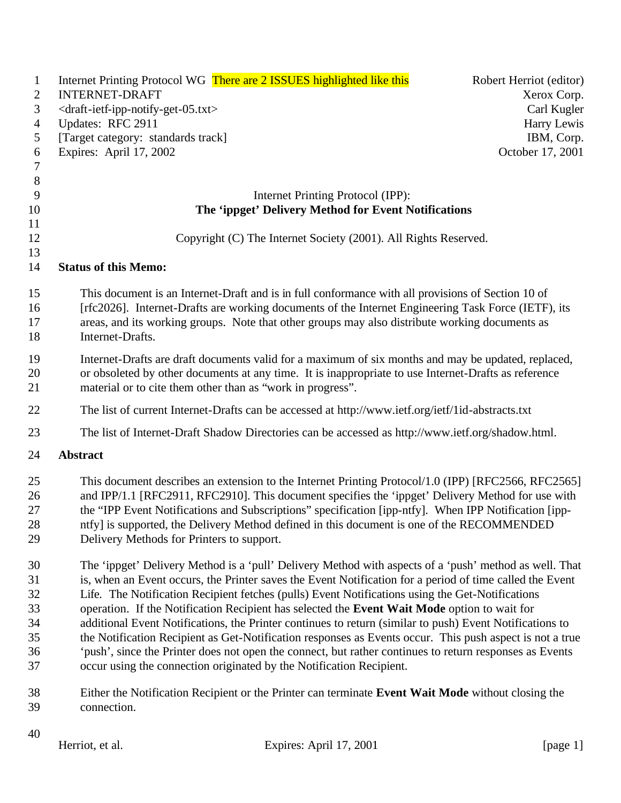| $\mathbf{1}$   |                                                                       | Internet Printing Protocol WG There are 2 ISSUES highlighted like this                                   | Robert Herriot (editor) |
|----------------|-----------------------------------------------------------------------|----------------------------------------------------------------------------------------------------------|-------------------------|
| 2              | <b>INTERNET-DRAFT</b>                                                 |                                                                                                          | Xerox Corp.             |
| 3              | <draft-ietf-ipp-notify-get-05.txt></draft-ietf-ipp-notify-get-05.txt> |                                                                                                          | Carl Kugler             |
| $\overline{4}$ | Updates: RFC 2911                                                     |                                                                                                          | Harry Lewis             |
| 5              | [Target category: standards track]                                    |                                                                                                          | IBM, Corp.              |
| 6              | Expires: April 17, 2002                                               |                                                                                                          | October 17, 2001        |
| $\overline{7}$ |                                                                       |                                                                                                          |                         |
| $\, 8$         |                                                                       |                                                                                                          |                         |
| 9              |                                                                       | Internet Printing Protocol (IPP):                                                                        |                         |
| 10             |                                                                       | The 'ippget' Delivery Method for Event Notifications                                                     |                         |
| 11             |                                                                       |                                                                                                          |                         |
| 12             |                                                                       | Copyright (C) The Internet Society (2001). All Rights Reserved.                                          |                         |
| 13             |                                                                       |                                                                                                          |                         |
| 14             | <b>Status of this Memo:</b>                                           |                                                                                                          |                         |
| 15             |                                                                       | This document is an Internet-Draft and is in full conformance with all provisions of Section 10 of       |                         |
| 16             |                                                                       | [rfc2026]. Internet-Drafts are working documents of the Internet Engineering Task Force (IETF), its      |                         |
| 17             |                                                                       | areas, and its working groups. Note that other groups may also distribute working documents as           |                         |
| 18             | Internet-Drafts.                                                      |                                                                                                          |                         |
| 19             |                                                                       | Internet-Drafts are draft documents valid for a maximum of six months and may be updated, replaced,      |                         |
| 20             |                                                                       | or obsoleted by other documents at any time. It is inappropriate to use Internet-Drafts as reference     |                         |
| 21             |                                                                       | material or to cite them other than as "work in progress".                                               |                         |
| 22             |                                                                       | The list of current Internet-Drafts can be accessed at http://www.ietf.org/ietf/1id-abstracts.txt        |                         |
| 23             |                                                                       | The list of Internet-Draft Shadow Directories can be accessed as http://www.ietf.org/shadow.html.        |                         |
| 24             | <b>Abstract</b>                                                       |                                                                                                          |                         |
|                |                                                                       |                                                                                                          |                         |
| 25             |                                                                       | This document describes an extension to the Internet Printing Protocol/1.0 (IPP) [RFC2566, RFC2565]      |                         |
| 26             |                                                                       | and IPP/1.1 [RFC2911, RFC2910]. This document specifies the 'ippget' Delivery Method for use with        |                         |
| 27             |                                                                       | the "IPP Event Notifications and Subscriptions" specification [ipp-ntfy]. When IPP Notification [ipp-    |                         |
| 28             |                                                                       | ntfy] is supported, the Delivery Method defined in this document is one of the RECOMMENDED               |                         |
| 29             | Delivery Methods for Printers to support.                             |                                                                                                          |                         |
| 30             |                                                                       | The 'ippget' Delivery Method is a 'pull' Delivery Method with aspects of a 'push' method as well. That   |                         |
| 31             |                                                                       | is, when an Event occurs, the Printer saves the Event Notification for a period of time called the Event |                         |
| 32             |                                                                       | Life. The Notification Recipient fetches (pulls) Event Notifications using the Get-Notifications         |                         |
| 33             |                                                                       | operation. If the Notification Recipient has selected the Event Wait Mode option to wait for             |                         |
| 34             |                                                                       | additional Event Notifications, the Printer continues to return (similar to push) Event Notifications to |                         |
| 35             |                                                                       | the Notification Recipient as Get-Notification responses as Events occur. This push aspect is not a true |                         |
| 36             |                                                                       | 'push', since the Printer does not open the connect, but rather continues to return responses as Events  |                         |
| 37             |                                                                       | occur using the connection originated by the Notification Recipient.                                     |                         |
| 38             |                                                                       | Either the Notification Recipient or the Printer can terminate Event Wait Mode without closing the       |                         |
| 39             | connection.                                                           |                                                                                                          |                         |
| 40             |                                                                       |                                                                                                          |                         |
|                | Herriot, et al.                                                       | Expires: April 17, 2001                                                                                  | [ $page 1$ ]            |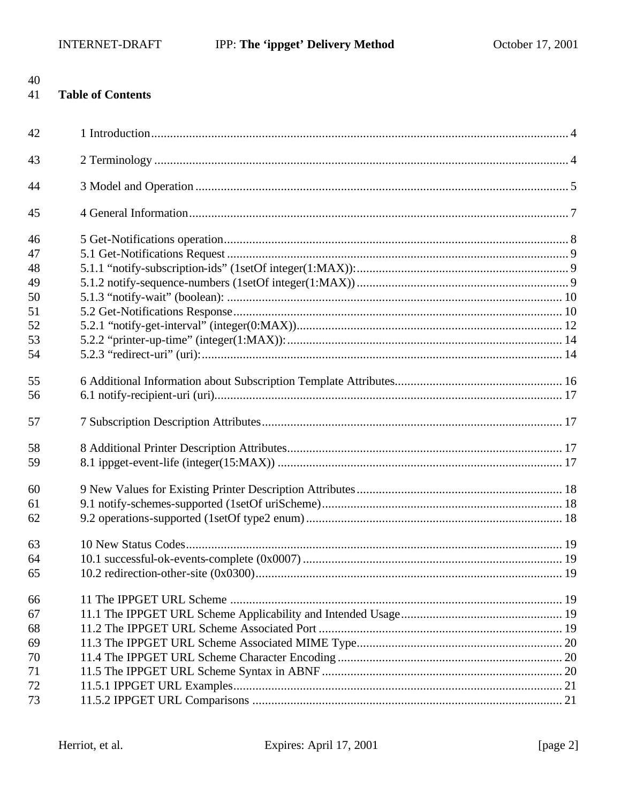40

| 41 | <b>Table of Contents</b> |  |
|----|--------------------------|--|
| 42 |                          |  |
| 43 |                          |  |
| 44 |                          |  |
| 45 |                          |  |
| 46 |                          |  |
| 47 |                          |  |
| 48 |                          |  |
| 49 |                          |  |
| 50 |                          |  |
| 51 |                          |  |
| 52 |                          |  |
| 53 |                          |  |
| 54 |                          |  |
| 55 |                          |  |
| 56 |                          |  |
| 57 |                          |  |
| 58 |                          |  |
| 59 |                          |  |
| 60 |                          |  |
| 61 |                          |  |
| 62 |                          |  |
| 63 |                          |  |
| 64 |                          |  |
| 65 |                          |  |
| 66 |                          |  |
| 67 |                          |  |
| 68 |                          |  |
| 69 |                          |  |
| 70 |                          |  |
| 71 |                          |  |
| 72 |                          |  |
| 73 |                          |  |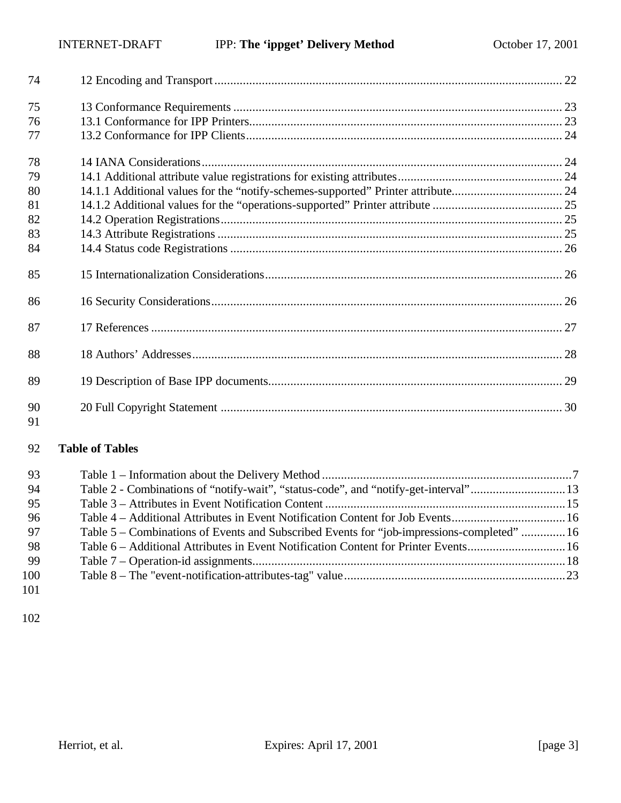| 74       |                                                                                  |  |
|----------|----------------------------------------------------------------------------------|--|
| 75       |                                                                                  |  |
| 76       |                                                                                  |  |
| 77       |                                                                                  |  |
| 78       |                                                                                  |  |
| 79       |                                                                                  |  |
| 80       | 14.1.1 Additional values for the "notify-schemes-supported" Printer attribute 24 |  |
| 81       |                                                                                  |  |
| 82       |                                                                                  |  |
| 83       |                                                                                  |  |
| 84       |                                                                                  |  |
| 85       |                                                                                  |  |
| 86       |                                                                                  |  |
| 87       |                                                                                  |  |
| 88       |                                                                                  |  |
| 89       |                                                                                  |  |
| 90<br>91 |                                                                                  |  |

# **Table of Tables**

| -93 |                                                                                            |  |
|-----|--------------------------------------------------------------------------------------------|--|
| -94 | Table 2 - Combinations of "notify-wait", "status-code", and "notify-get-interval"13        |  |
| -95 |                                                                                            |  |
| 96  | Table 4 – Additional Attributes in Event Notification Content for Job Events16             |  |
| 97  | Table 5 – Combinations of Events and Subscribed Events for "job-impressions-completed"  16 |  |
| -98 | Table 6 – Additional Attributes in Event Notification Content for Printer Events16         |  |
| -99 |                                                                                            |  |
| 100 |                                                                                            |  |
|     |                                                                                            |  |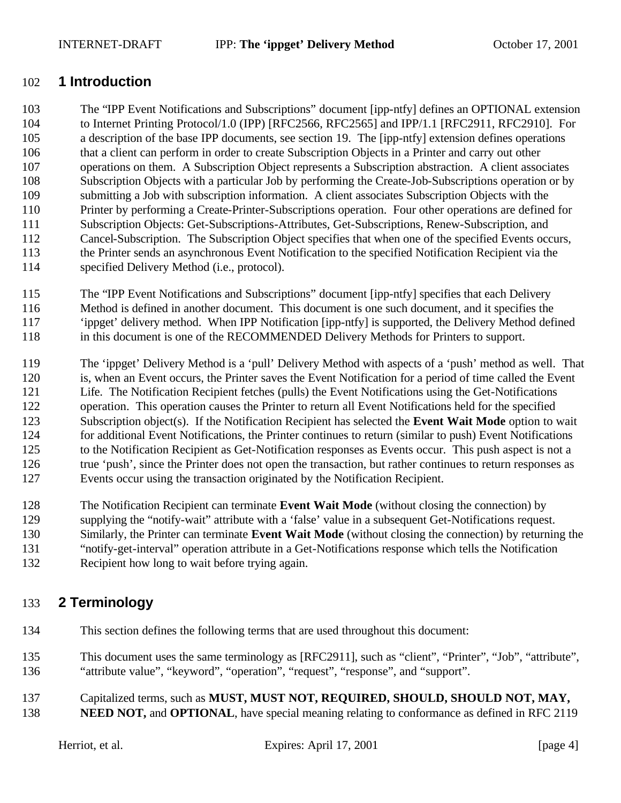# **1 Introduction**

 The "IPP Event Notifications and Subscriptions" document [ipp-ntfy] defines an OPTIONAL extension to Internet Printing Protocol/1.0 (IPP) [RFC2566, RFC2565] and IPP/1.1 [RFC2911, RFC2910]. For a description of the base IPP documents, see section 19. The [ipp-ntfy] extension defines operations that a client can perform in order to create Subscription Objects in a Printer and carry out other operations on them. A Subscription Object represents a Subscription abstraction. A client associates Subscription Objects with a particular Job by performing the Create-Job-Subscriptions operation or by submitting a Job with subscription information. A client associates Subscription Objects with the Printer by performing a Create-Printer-Subscriptions operation. Four other operations are defined for Subscription Objects: Get-Subscriptions-Attributes, Get-Subscriptions, Renew-Subscription, and Cancel-Subscription. The Subscription Object specifies that when one of the specified Events occurs, the Printer sends an asynchronous Event Notification to the specified Notification Recipient via the specified Delivery Method (i.e., protocol).

- The "IPP Event Notifications and Subscriptions" document [ipp-ntfy] specifies that each Delivery Method is defined in another document. This document is one such document, and it specifies the 'ippget' delivery method. When IPP Notification [ipp-ntfy] is supported, the Delivery Method defined in this document is one of the RECOMMENDED Delivery Methods for Printers to support.
- The 'ippget' Delivery Method is a 'pull' Delivery Method with aspects of a 'push' method as well. That is, when an Event occurs, the Printer saves the Event Notification for a period of time called the Event Life. The Notification Recipient fetches (pulls) the Event Notifications using the Get-Notifications operation. This operation causes the Printer to return all Event Notifications held for the specified Subscription object(s). If the Notification Recipient has selected the **Event Wait Mode** option to wait for additional Event Notifications, the Printer continues to return (similar to push) Event Notifications to the Notification Recipient as Get-Notification responses as Events occur. This push aspect is not a 126 true 'push', since the Printer does not open the transaction, but rather continues to return responses as Events occur using the transaction originated by the Notification Recipient.
- The Notification Recipient can terminate **Event Wait Mode** (without closing the connection) by
- supplying the "notify-wait" attribute with a 'false' value in a subsequent Get-Notifications request.
- Similarly, the Printer can terminate **Event Wait Mode** (without closing the connection) by returning the
- "notify-get-interval" operation attribute in a Get-Notifications response which tells the Notification
- Recipient how long to wait before trying again.

# **2 Terminology**

- This section defines the following terms that are used throughout this document:
- This document uses the same terminology as [RFC2911], such as "client", "Printer", "Job", "attribute", "attribute value", "keyword", "operation", "request", "response", and "support".
- Capitalized terms, such as **MUST, MUST NOT, REQUIRED, SHOULD, SHOULD NOT, MAY,**
- **NEED NOT, and OPTIONAL**, have special meaning relating to conformance as defined in RFC 2119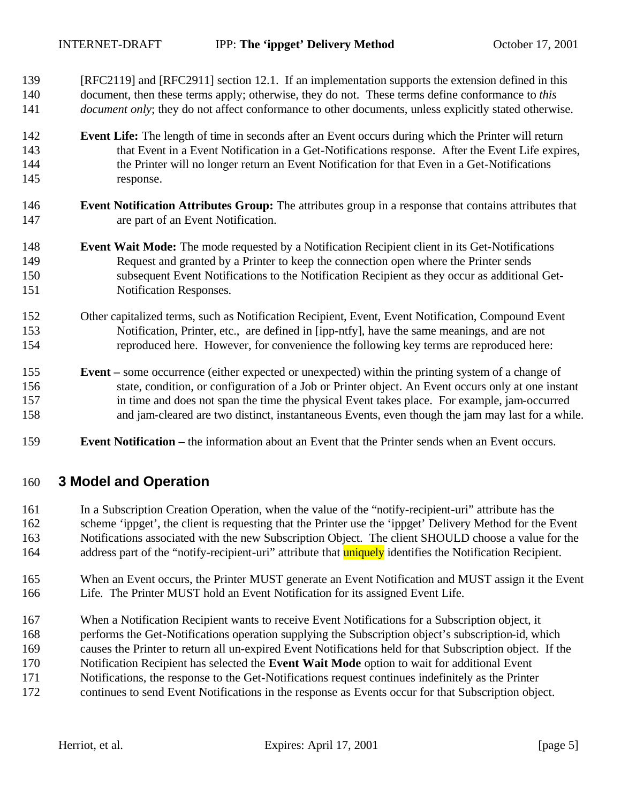- [RFC2119] and [RFC2911] section 12.1. If an implementation supports the extension defined in this document, then these terms apply; otherwise, they do not. These terms define conformance to *this document only*; they do not affect conformance to other documents, unless explicitly stated otherwise.
- **Event Life:** The length of time in seconds after an Event occurs during which the Printer will return that Event in a Event Notification in a Get-Notifications response. After the Event Life expires, the Printer will no longer return an Event Notification for that Even in a Get-Notifications response.
- **Event Notification Attributes Group:** The attributes group in a response that contains attributes that are part of an Event Notification.
- **Event Wait Mode:** The mode requested by a Notification Recipient client in its Get-Notifications Request and granted by a Printer to keep the connection open where the Printer sends subsequent Event Notifications to the Notification Recipient as they occur as additional Get-Notification Responses.
- Other capitalized terms, such as Notification Recipient, Event, Event Notification, Compound Event Notification, Printer, etc., are defined in [ipp-ntfy], have the same meanings, and are not reproduced here. However, for convenience the following key terms are reproduced here:
- **Event –** some occurrence (either expected or unexpected) within the printing system of a change of state, condition, or configuration of a Job or Printer object. An Event occurs only at one instant in time and does not span the time the physical Event takes place. For example, jam-occurred and jam-cleared are two distinct, instantaneous Events, even though the jam may last for a while.
- **Event Notification –** the information about an Event that the Printer sends when an Event occurs.

# **3 Model and Operation**

- In a Subscription Creation Operation, when the value of the "notify-recipient-uri" attribute has the scheme 'ippget', the client is requesting that the Printer use the 'ippget' Delivery Method for the Event Notifications associated with the new Subscription Object. The client SHOULD choose a value for the 164 address part of the "notify-recipient-uri" attribute that **uniquely** identifies the Notification Recipient.
- When an Event occurs, the Printer MUST generate an Event Notification and MUST assign it the Event Life. The Printer MUST hold an Event Notification for its assigned Event Life.
- When a Notification Recipient wants to receive Event Notifications for a Subscription object, it
- performs the Get-Notifications operation supplying the Subscription object's subscription-id, which
- causes the Printer to return all un-expired Event Notifications held for that Subscription object. If the
- Notification Recipient has selected the **Event Wait Mode** option to wait for additional Event
- Notifications, the response to the Get-Notifications request continues indefinitely as the Printer
- continues to send Event Notifications in the response as Events occur for that Subscription object.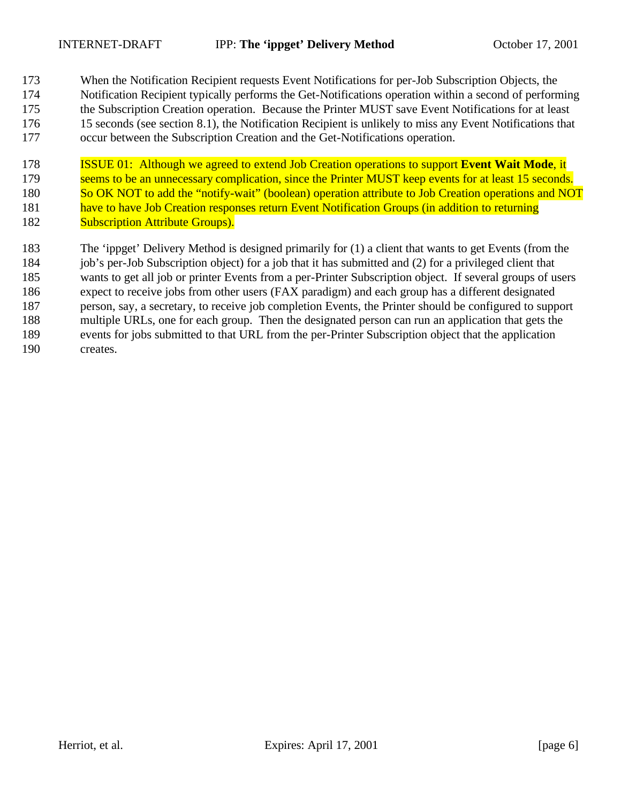When the Notification Recipient requests Event Notifications for per-Job Subscription Objects, the Notification Recipient typically performs the Get-Notifications operation within a second of performing the Subscription Creation operation. Because the Printer MUST save Event Notifications for at least 15 seconds (see section 8.1), the Notification Recipient is unlikely to miss any Event Notifications that occur between the Subscription Creation and the Get-Notifications operation.

 ISSUE 01: Although we agreed to extend Job Creation operations to support **Event Wait Mode**, it 179 seems to be an unnecessary complication, since the Printer MUST keep events for at least 15 seconds. 180 So OK NOT to add the "notify-wait" (boolean) operation attribute to Job Creation operations and NOT 181 have to have Job Creation responses return Event Notification Groups (in addition to returning **Subscription Attribute Groups).** 

 The 'ippget' Delivery Method is designed primarily for (1) a client that wants to get Events (from the job's per-Job Subscription object) for a job that it has submitted and (2) for a privileged client that wants to get all job or printer Events from a per-Printer Subscription object. If several groups of users expect to receive jobs from other users (FAX paradigm) and each group has a different designated person, say, a secretary, to receive job completion Events, the Printer should be configured to support multiple URLs, one for each group. Then the designated person can run an application that gets the events for jobs submitted to that URL from the per-Printer Subscription object that the application creates.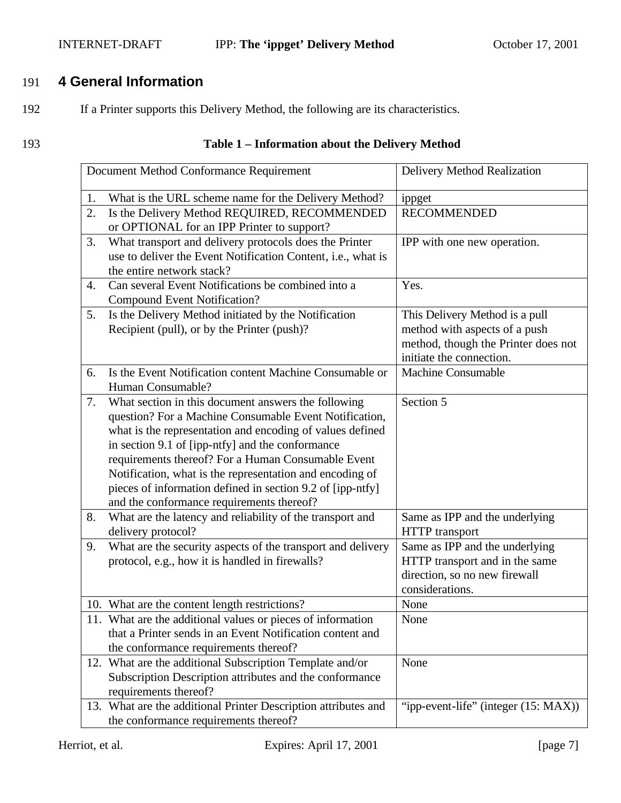# INTERNET-DRAFT **IPP:** The 'ippget' Delivery Method October 17, 2001

# 191 **4 General Information**

192 If a Printer supports this Delivery Method, the following are its characteristics.

# 193 **Table 1 – Information about the Delivery Method**

|    | Document Method Conformance Requirement                                                                                                                                                                                                                                                                                                                                                                                                                     | Delivery Method Realization                                                                                                        |
|----|-------------------------------------------------------------------------------------------------------------------------------------------------------------------------------------------------------------------------------------------------------------------------------------------------------------------------------------------------------------------------------------------------------------------------------------------------------------|------------------------------------------------------------------------------------------------------------------------------------|
| 1. | What is the URL scheme name for the Delivery Method?                                                                                                                                                                                                                                                                                                                                                                                                        | ippget                                                                                                                             |
| 2. | Is the Delivery Method REQUIRED, RECOMMENDED<br>or OPTIONAL for an IPP Printer to support?                                                                                                                                                                                                                                                                                                                                                                  | <b>RECOMMENDED</b>                                                                                                                 |
| 3. | What transport and delivery protocols does the Printer<br>use to deliver the Event Notification Content, i.e., what is<br>the entire network stack?                                                                                                                                                                                                                                                                                                         | IPP with one new operation.                                                                                                        |
| 4. | Can several Event Notifications be combined into a<br><b>Compound Event Notification?</b>                                                                                                                                                                                                                                                                                                                                                                   | Yes.                                                                                                                               |
| 5. | Is the Delivery Method initiated by the Notification<br>Recipient (pull), or by the Printer (push)?                                                                                                                                                                                                                                                                                                                                                         | This Delivery Method is a pull<br>method with aspects of a push<br>method, though the Printer does not<br>initiate the connection. |
| 6. | Is the Event Notification content Machine Consumable or<br>Human Consumable?                                                                                                                                                                                                                                                                                                                                                                                | <b>Machine Consumable</b>                                                                                                          |
| 7. | What section in this document answers the following<br>question? For a Machine Consumable Event Notification,<br>what is the representation and encoding of values defined<br>in section 9.1 of [ipp-ntfy] and the conformance<br>requirements thereof? For a Human Consumable Event<br>Notification, what is the representation and encoding of<br>pieces of information defined in section 9.2 of [ipp-ntfy]<br>and the conformance requirements thereof? | Section 5                                                                                                                          |
| 8. | What are the latency and reliability of the transport and<br>delivery protocol?                                                                                                                                                                                                                                                                                                                                                                             | Same as IPP and the underlying<br>HTTP transport                                                                                   |
| 9. | What are the security aspects of the transport and delivery<br>protocol, e.g., how it is handled in firewalls?                                                                                                                                                                                                                                                                                                                                              | Same as IPP and the underlying<br>HTTP transport and in the same<br>direction, so no new firewall<br>considerations.               |
|    | 10. What are the content length restrictions?                                                                                                                                                                                                                                                                                                                                                                                                               | None                                                                                                                               |
|    | 11. What are the additional values or pieces of information<br>that a Printer sends in an Event Notification content and<br>the conformance requirements thereof?                                                                                                                                                                                                                                                                                           | None                                                                                                                               |
|    | 12. What are the additional Subscription Template and/or<br>Subscription Description attributes and the conformance<br>requirements thereof?                                                                                                                                                                                                                                                                                                                | None                                                                                                                               |
|    | 13. What are the additional Printer Description attributes and<br>the conformance requirements thereof?                                                                                                                                                                                                                                                                                                                                                     | "ipp-event-life" (integer (15: MAX))                                                                                               |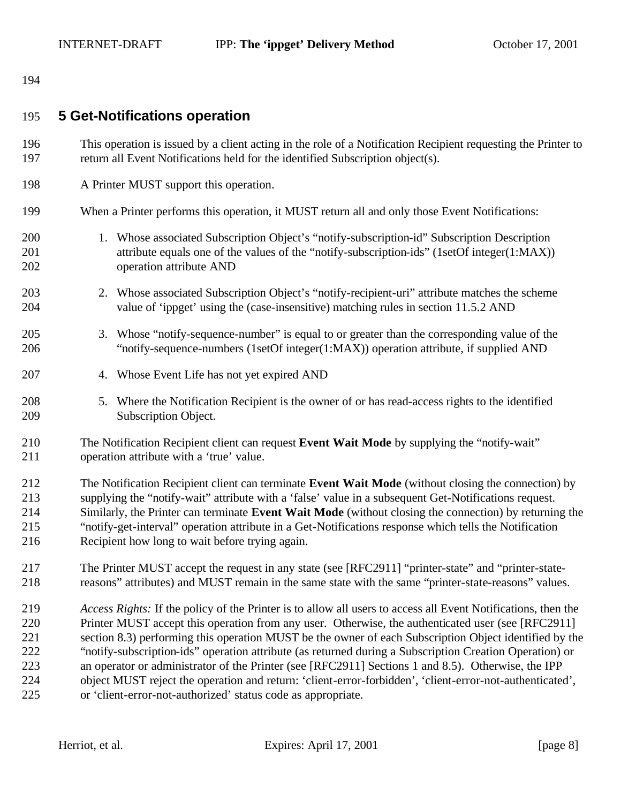# **5 Get-Notifications operation**

- This operation is issued by a client acting in the role of a Notification Recipient requesting the Printer to return all Event Notifications held for the identified Subscription object(s).
- A Printer MUST support this operation.

#### When a Printer performs this operation, it MUST return all and only those Event Notifications:

- 1. Whose associated Subscription Object's "notify-subscription-id" Subscription Description attribute equals one of the values of the "notify-subscription-ids" (1setOf integer(1:MAX)) operation attribute AND
- 2. Whose associated Subscription Object's "notify-recipient-uri" attribute matches the scheme value of 'ippget' using the (case-insensitive) matching rules in section 11.5.2 AND
- 3. Whose "notify-sequence-number" is equal to or greater than the corresponding value of the "notify-sequence-numbers (1setOf integer(1:MAX)) operation attribute, if supplied AND
- 4. Whose Event Life has not yet expired AND
- 5. Where the Notification Recipient is the owner of or has read-access rights to the identified Subscription Object.
- The Notification Recipient client can request **Event Wait Mode** by supplying the "notify-wait" operation attribute with a 'true' value.
- The Notification Recipient client can terminate **Event Wait Mode** (without closing the connection) by supplying the "notify-wait" attribute with a 'false' value in a subsequent Get-Notifications request. Similarly, the Printer can terminate **Event Wait Mode** (without closing the connection) by returning the "notify-get-interval" operation attribute in a Get-Notifications response which tells the Notification Recipient how long to wait before trying again.
- The Printer MUST accept the request in any state (see [RFC2911] "printer-state" and "printer-state-reasons" attributes) and MUST remain in the same state with the same "printer-state-reasons" values.
- *Access Rights:* If the policy of the Printer is to allow all users to access all Event Notifications, then the Printer MUST accept this operation from any user. Otherwise, the authenticated user (see [RFC2911] section 8.3) performing this operation MUST be the owner of each Subscription Object identified by the "notify-subscription-ids" operation attribute (as returned during a Subscription Creation Operation) or an operator or administrator of the Printer (see [RFC2911] Sections 1 and 8.5). Otherwise, the IPP object MUST reject the operation and return: 'client-error-forbidden', 'client-error-not-authenticated', or 'client-error-not-authorized' status code as appropriate.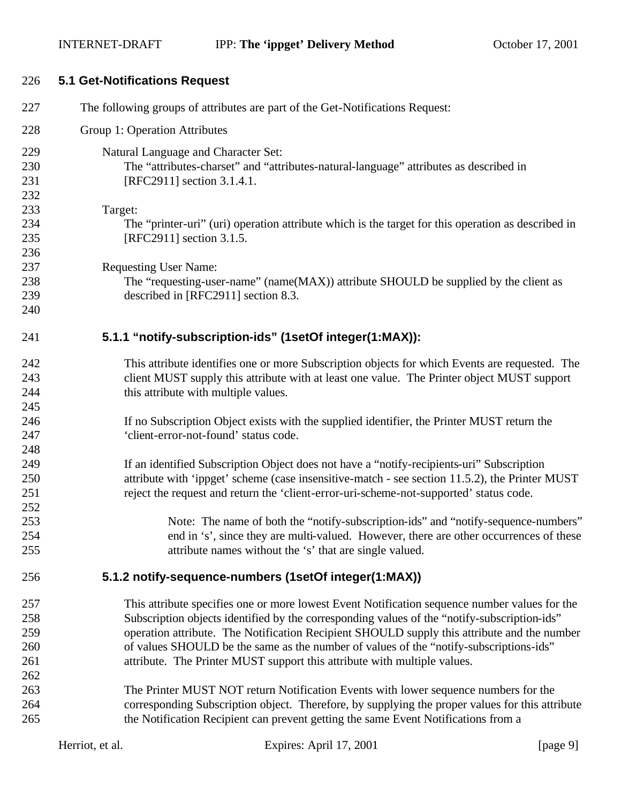| 226                                    | <b>5.1 Get-Notifications Request</b>                                                                                                                                                                                                                                                                                                                                                                                                                               |
|----------------------------------------|--------------------------------------------------------------------------------------------------------------------------------------------------------------------------------------------------------------------------------------------------------------------------------------------------------------------------------------------------------------------------------------------------------------------------------------------------------------------|
| 227                                    | The following groups of attributes are part of the Get-Notifications Request:                                                                                                                                                                                                                                                                                                                                                                                      |
| 228                                    | Group 1: Operation Attributes                                                                                                                                                                                                                                                                                                                                                                                                                                      |
| 229<br>230<br>231<br>232               | Natural Language and Character Set:<br>The "attributes-charset" and "attributes-natural-language" attributes as described in<br>[RFC2911] section 3.1.4.1.                                                                                                                                                                                                                                                                                                         |
| 233<br>234<br>235<br>236               | Target:<br>The "printer-uri" (uri) operation attribute which is the target for this operation as described in<br>[RFC2911] section 3.1.5.                                                                                                                                                                                                                                                                                                                          |
| 237<br>238<br>239<br>240               | <b>Requesting User Name:</b><br>The "requesting-user-name" (name(MAX)) attribute SHOULD be supplied by the client as<br>described in [RFC2911] section 8.3.                                                                                                                                                                                                                                                                                                        |
| 241                                    | 5.1.1 "notify-subscription-ids" (1setOf integer(1:MAX)):                                                                                                                                                                                                                                                                                                                                                                                                           |
| 242<br>243<br>244<br>245               | This attribute identifies one or more Subscription objects for which Events are requested. The<br>client MUST supply this attribute with at least one value. The Printer object MUST support<br>this attribute with multiple values.                                                                                                                                                                                                                               |
| 246<br>247<br>248                      | If no Subscription Object exists with the supplied identifier, the Printer MUST return the<br>'client-error-not-found' status code.                                                                                                                                                                                                                                                                                                                                |
| 249<br>250<br>251<br>252               | If an identified Subscription Object does not have a "notify-recipients-uri" Subscription<br>attribute with 'ippget' scheme (case insensitive-match - see section 11.5.2), the Printer MUST<br>reject the request and return the 'client-error-uri-scheme-not-supported' status code.                                                                                                                                                                              |
| 253<br>254<br>255                      | Note: The name of both the "notify-subscription-ids" and "notify-sequence-numbers"<br>end in 's', since they are multi-valued. However, there are other occurrences of these<br>attribute names without the 's' that are single valued.                                                                                                                                                                                                                            |
| 256                                    | 5.1.2 notify-sequence-numbers (1setOf integer(1:MAX))                                                                                                                                                                                                                                                                                                                                                                                                              |
| 257<br>258<br>259<br>260<br>261<br>262 | This attribute specifies one or more lowest Event Notification sequence number values for the<br>Subscription objects identified by the corresponding values of the "notify-subscription-ids"<br>operation attribute. The Notification Recipient SHOULD supply this attribute and the number<br>of values SHOULD be the same as the number of values of the "notify-subscriptions-ids"<br>attribute. The Printer MUST support this attribute with multiple values. |
| 263<br>264<br>265                      | The Printer MUST NOT return Notification Events with lower sequence numbers for the<br>corresponding Subscription object. Therefore, by supplying the proper values for this attribute<br>the Notification Recipient can prevent getting the same Event Notifications from a                                                                                                                                                                                       |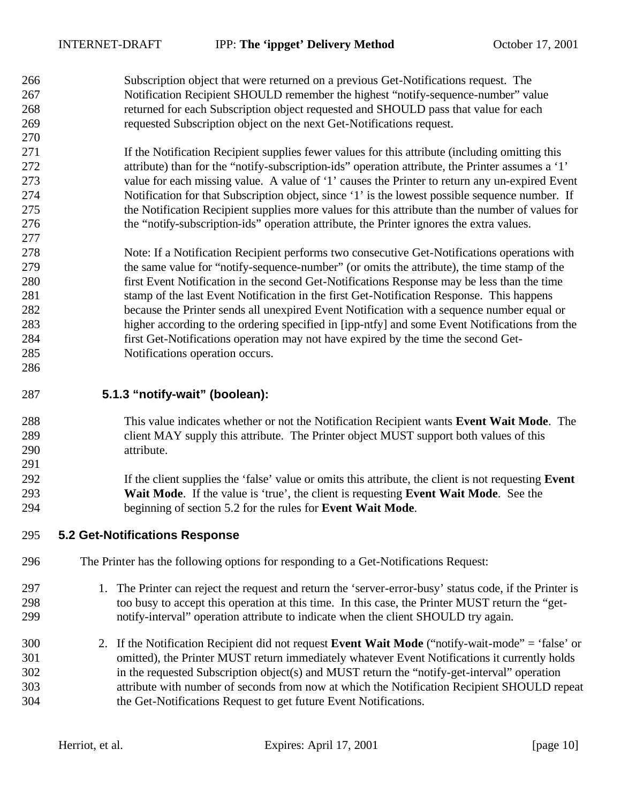| 266 | Subscription object that were returned on a previous Get-Notifications request. The                  |
|-----|------------------------------------------------------------------------------------------------------|
| 267 | Notification Recipient SHOULD remember the highest "notify-sequence-number" value                    |
| 268 | returned for each Subscription object requested and SHOULD pass that value for each                  |
| 269 | requested Subscription object on the next Get-Notifications request.                                 |
| 270 |                                                                                                      |
| 271 | If the Notification Recipient supplies fewer values for this attribute (including omitting this      |
| 272 | attribute) than for the "notify-subscription-ids" operation attribute, the Printer assumes a '1'     |
| 273 | value for each missing value. A value of '1' causes the Printer to return any un-expired Event       |
| 274 | Notification for that Subscription object, since '1' is the lowest possible sequence number. If      |
| 275 | the Notification Recipient supplies more values for this attribute than the number of values for     |
| 276 | the "notify-subscription-ids" operation attribute, the Printer ignores the extra values.             |
| 277 |                                                                                                      |
| 278 | Note: If a Notification Recipient performs two consecutive Get-Notifications operations with         |
| 279 | the same value for "notify-sequence-number" (or omits the attribute), the time stamp of the          |
| 280 | first Event Notification in the second Get-Notifications Response may be less than the time          |
| 281 | stamp of the last Event Notification in the first Get-Notification Response. This happens            |
| 282 | because the Printer sends all unexpired Event Notification with a sequence number equal or           |
| 283 | higher according to the ordering specified in [ipp-ntfy] and some Event Notifications from the       |
| 284 | first Get-Notifications operation may not have expired by the time the second Get-                   |
| 285 | Notifications operation occurs.                                                                      |
| 286 |                                                                                                      |
| 287 | 5.1.3 "notify-wait" (boolean):                                                                       |
| 288 | This value indicates whether or not the Notification Recipient wants Event Wait Mode. The            |
| 289 | client MAY supply this attribute. The Printer object MUST support both values of this                |
| 290 | attribute.                                                                                           |
| 291 |                                                                                                      |
| 292 | If the client supplies the 'false' value or omits this attribute, the client is not requesting Event |
| 293 | Wait Mode. If the value is 'true', the client is requesting Event Wait Mode. See the                 |
| 294 | beginning of section 5.2 for the rules for Event Wait Mode.                                          |
| 295 | 5.2 Get-Notifications Response                                                                       |
| 296 | The Printer has the following options for responding to a Get-Notifications Request:                 |

- 1. The Printer can reject the request and return the 'server-error-busy' status code, if the Printer is too busy to accept this operation at this time. In this case, the Printer MUST return the "get-notify-interval" operation attribute to indicate when the client SHOULD try again.
- 2. If the Notification Recipient did not request **Event Wait Mode** ("notify-wait-mode" = 'false' or omitted), the Printer MUST return immediately whatever Event Notifications it currently holds in the requested Subscription object(s) and MUST return the "notify-get-interval" operation attribute with number of seconds from now at which the Notification Recipient SHOULD repeat the Get-Notifications Request to get future Event Notifications.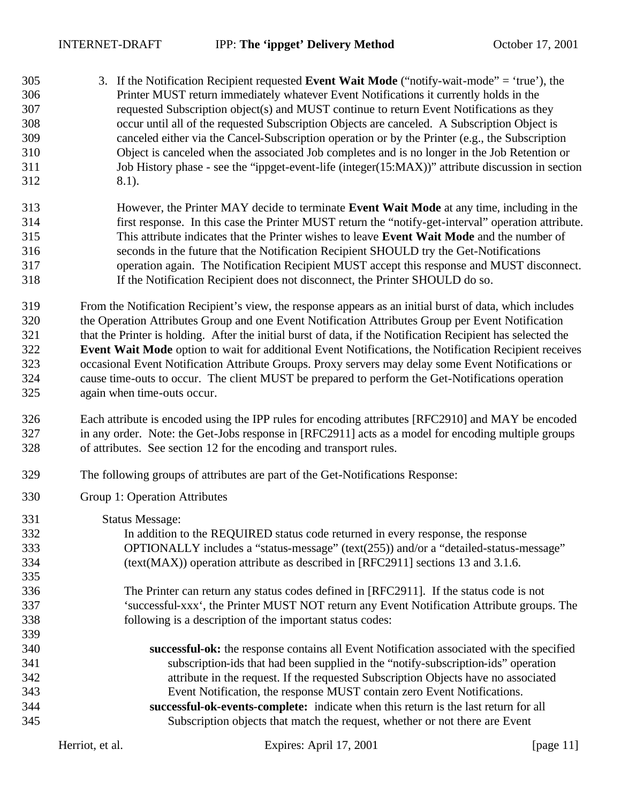- 3. If the Notification Recipient requested **Event Wait Mode** ("notify-wait-mode" = 'true'), the Printer MUST return immediately whatever Event Notifications it currently holds in the requested Subscription object(s) and MUST continue to return Event Notifications as they occur until all of the requested Subscription Objects are canceled. A Subscription Object is canceled either via the Cancel-Subscription operation or by the Printer (e.g., the Subscription Object is canceled when the associated Job completes and is no longer in the Job Retention or 311 Job History phase - see the "ippget-event-life (integer(15:MAX))" attribute discussion in section 8.1).
- However, the Printer MAY decide to terminate **Event Wait Mode** at any time, including in the first response. In this case the Printer MUST return the "notify-get-interval" operation attribute. This attribute indicates that the Printer wishes to leave **Event Wait Mode** and the number of seconds in the future that the Notification Recipient SHOULD try the Get-Notifications operation again. The Notification Recipient MUST accept this response and MUST disconnect. If the Notification Recipient does not disconnect, the Printer SHOULD do so.
- From the Notification Recipient's view, the response appears as an initial burst of data, which includes the Operation Attributes Group and one Event Notification Attributes Group per Event Notification that the Printer is holding. After the initial burst of data, if the Notification Recipient has selected the **Event Wait Mode** option to wait for additional Event Notifications, the Notification Recipient receives occasional Event Notification Attribute Groups. Proxy servers may delay some Event Notifications or cause time-outs to occur. The client MUST be prepared to perform the Get-Notifications operation again when time-outs occur.
- Each attribute is encoded using the IPP rules for encoding attributes [RFC2910] and MAY be encoded in any order. Note: the Get-Jobs response in [RFC2911] acts as a model for encoding multiple groups of attributes. See section 12 for the encoding and transport rules.
- The following groups of attributes are part of the Get-Notifications Response:
- Group 1: Operation Attributes
- Status Message: In addition to the REQUIRED status code returned in every response, the response OPTIONALLY includes a "status-message" (text(255)) and/or a "detailed-status-message" (text(MAX)) operation attribute as described in [RFC2911] sections 13 and 3.1.6. The Printer can return any status codes defined in [RFC2911]. If the status code is not 'successful-xxx', the Printer MUST NOT return any Event Notification Attribute groups. The following is a description of the important status codes: **successful-ok:** the response contains all Event Notification associated with the specified subscription-ids that had been supplied in the "notify-subscription-ids" operation attribute in the request. If the requested Subscription Objects have no associated Event Notification, the response MUST contain zero Event Notifications. **successful-ok-events-complete:** indicate when this return is the last return for all Subscription objects that match the request, whether or not there are Event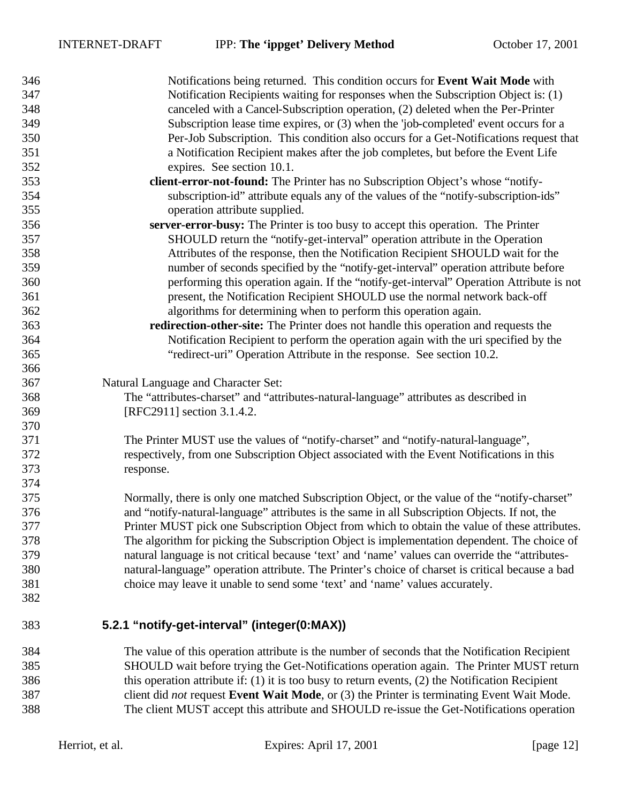| 346 | Notifications being returned. This condition occurs for <b>Event Wait Mode</b> with                  |
|-----|------------------------------------------------------------------------------------------------------|
| 347 | Notification Recipients waiting for responses when the Subscription Object is: (1)                   |
| 348 | canceled with a Cancel-Subscription operation, (2) deleted when the Per-Printer                      |
| 349 | Subscription lease time expires, or (3) when the 'job-completed' event occurs for a                  |
| 350 | Per-Job Subscription. This condition also occurs for a Get-Notifications request that                |
| 351 | a Notification Recipient makes after the job completes, but before the Event Life                    |
| 352 | expires. See section 10.1.                                                                           |
| 353 | client-error-not-found: The Printer has no Subscription Object's whose "notify-                      |
| 354 | subscription-id" attribute equals any of the values of the "notify-subscription-ids"                 |
| 355 | operation attribute supplied.                                                                        |
| 356 | server-error-busy: The Printer is too busy to accept this operation. The Printer                     |
| 357 | SHOULD return the "notify-get-interval" operation attribute in the Operation                         |
| 358 | Attributes of the response, then the Notification Recipient SHOULD wait for the                      |
| 359 | number of seconds specified by the "notify-get-interval" operation attribute before                  |
| 360 | performing this operation again. If the "notify-get-interval" Operation Attribute is not             |
| 361 | present, the Notification Recipient SHOULD use the normal network back-off                           |
| 362 | algorithms for determining when to perform this operation again.                                     |
| 363 | redirection-other-site: The Printer does not handle this operation and requests the                  |
| 364 | Notification Recipient to perform the operation again with the uri specified by the                  |
| 365 | "redirect-uri" Operation Attribute in the response. See section 10.2.                                |
| 366 |                                                                                                      |
| 367 | Natural Language and Character Set:                                                                  |
| 368 | The "attributes-charset" and "attributes-natural-language" attributes as described in                |
| 369 | [RFC2911] section 3.1.4.2.                                                                           |
| 370 |                                                                                                      |
| 371 | The Printer MUST use the values of "notify-charset" and "notify-natural-language",                   |
| 372 | respectively, from one Subscription Object associated with the Event Notifications in this           |
| 373 | response.                                                                                            |
| 374 |                                                                                                      |
| 375 | Normally, there is only one matched Subscription Object, or the value of the "notify-charset"        |
| 376 | and "notify-natural-language" attributes is the same in all Subscription Objects. If not, the        |
| 377 | Printer MUST pick one Subscription Object from which to obtain the value of these attributes.        |
| 378 | The algorithm for picking the Subscription Object is implementation dependent. The choice of         |
| 379 | natural language is not critical because 'text' and 'name' values can override the "attributes-      |
| 380 | natural-language" operation attribute. The Printer's choice of charset is critical because a bad     |
| 381 | choice may leave it unable to send some 'text' and 'name' values accurately.                         |
| 382 |                                                                                                      |
|     |                                                                                                      |
| 383 | 5.2.1 "notify-get-interval" (integer(0:MAX))                                                         |
| 384 | The value of this operation attribute is the number of seconds that the Notification Recipient       |
| 385 | SHOULD wait before trying the Get-Notifications operation again. The Printer MUST return             |
| 386 | this operation attribute if: $(1)$ it is too busy to return events, $(2)$ the Notification Recipient |
| 387 | client did <i>not</i> request Event Wait Mode, or (3) the Printer is terminating Event Wait Mode.    |
| 388 | The client MUST accept this attribute and SHOULD re-issue the Get-Notifications operation            |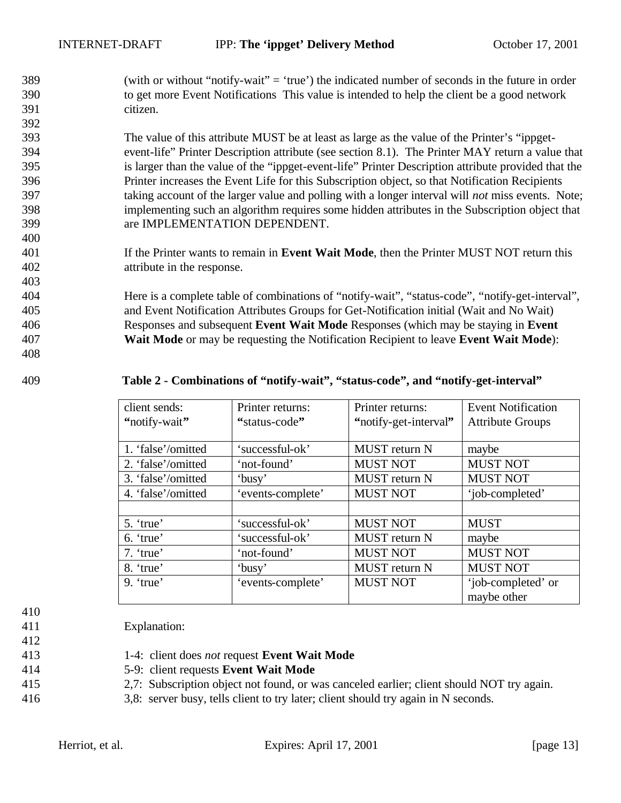(with or without "notify-wait" = 'true') the indicated number of seconds in the future in order to get more Event Notifications This value is intended to help the client be a good network citizen.

 The value of this attribute MUST be at least as large as the value of the Printer's "ippget- event-life" Printer Description attribute (see section 8.1). The Printer MAY return a value that is larger than the value of the "ippget-event-life" Printer Description attribute provided that the Printer increases the Event Life for this Subscription object, so that Notification Recipients taking account of the larger value and polling with a longer interval will *not* miss events. Note; implementing such an algorithm requires some hidden attributes in the Subscription object that are IMPLEMENTATION DEPENDENT.

 If the Printer wants to remain in **Event Wait Mode**, then the Printer MUST NOT return this attribute in the response.

 Here is a complete table of combinations of "notify-wait", "status-code", "notify-get-interval", and Event Notification Attributes Groups for Get-Notification initial (Wait and No Wait) Responses and subsequent **Event Wait Mode** Responses (which may be staying in **Event Wait Mode** or may be requesting the Notification Recipient to leave **Event Wait Mode**):

#### **Table 2 - Combinations of "notify-wait", "status-code", and "notify-get-interval"**

| client sends:      | Printer returns:  | Printer returns:      | <b>Event Notification</b> |
|--------------------|-------------------|-----------------------|---------------------------|
| "notify-wait"      | "status-code"     | "notify-get-interval" | <b>Attribute Groups</b>   |
|                    |                   |                       |                           |
| 1. 'false'/omitted | 'successful-ok'   | <b>MUST</b> return N  | maybe                     |
| 2. 'false'/omitted | 'not-found'       | <b>MUST NOT</b>       | <b>MUST NOT</b>           |
| 3. 'false'/omitted | 'busy'            | <b>MUST</b> return N  | <b>MUST NOT</b>           |
| 4. 'false'/omitted | 'events-complete' | <b>MUST NOT</b>       | 'job-completed'           |
|                    |                   |                       |                           |
| 5. 'true'          | 'successful-ok'   | <b>MUST NOT</b>       | <b>MUST</b>               |
| $6.$ 'true'        | 'successful-ok'   | <b>MUST</b> return N  | maybe                     |
| 7. 'true'          | 'not-found'       | <b>MUST NOT</b>       | <b>MUST NOT</b>           |
| 8. 'true'          | 'busy'            | <b>MUST</b> return N  | <b>MUST NOT</b>           |
| $9.$ 'true'        | 'events-complete' | <b>MUST NOT</b>       | 'job-completed' or        |
|                    |                   |                       | maybe other               |

Explanation:

- 
- 1-4: client does *not* request **Event Wait Mode**
- 5-9: client requests **Event Wait Mode**
- 2,7: Subscription object not found, or was canceled earlier; client should NOT try again.
- 3,8: server busy, tells client to try later; client should try again in N seconds.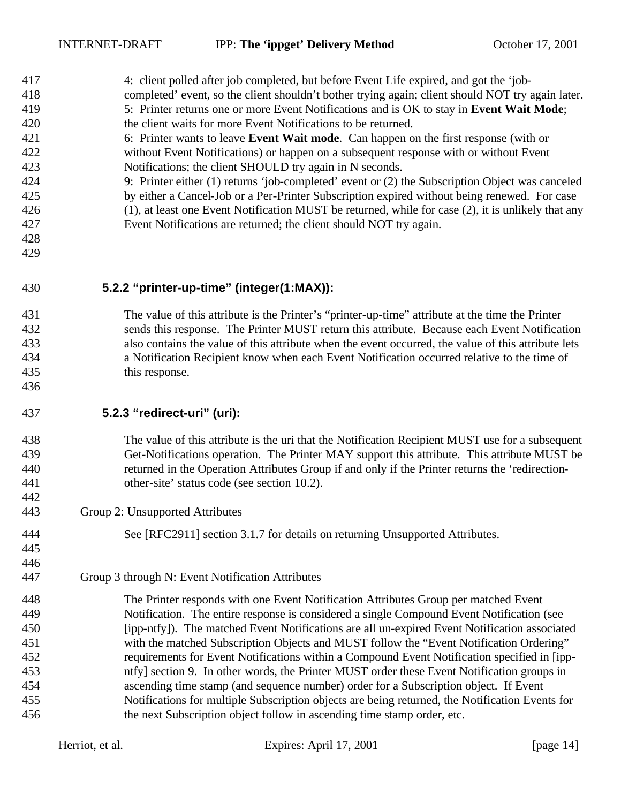| 417<br>418<br>419 | 4: client polled after job completed, but before Event Life expired, and got the 'job-<br>completed' event, so the client shouldn't bother trying again; client should NOT try again later.<br>5: Printer returns one or more Event Notifications and is OK to stay in Event Wait Mode; |
|-------------------|-----------------------------------------------------------------------------------------------------------------------------------------------------------------------------------------------------------------------------------------------------------------------------------------|
| 420               | the client waits for more Event Notifications to be returned.                                                                                                                                                                                                                           |
| 421               | 6: Printer wants to leave Event Wait mode. Can happen on the first response (with or                                                                                                                                                                                                    |
| 422               | without Event Notifications) or happen on a subsequent response with or without Event                                                                                                                                                                                                   |
| 423               | Notifications; the client SHOULD try again in N seconds.                                                                                                                                                                                                                                |
| 424               | 9: Printer either (1) returns 'job-completed' event or (2) the Subscription Object was canceled                                                                                                                                                                                         |
| 425               | by either a Cancel-Job or a Per-Printer Subscription expired without being renewed. For case                                                                                                                                                                                            |
| 426               | (1), at least one Event Notification MUST be returned, while for case (2), it is unlikely that any                                                                                                                                                                                      |
| 427               | Event Notifications are returned; the client should NOT try again.                                                                                                                                                                                                                      |
| 428               |                                                                                                                                                                                                                                                                                         |
| 429               |                                                                                                                                                                                                                                                                                         |
| 430               | 5.2.2 "printer-up-time" (integer(1:MAX)):                                                                                                                                                                                                                                               |
| 431               | The value of this attribute is the Printer's "printer-up-time" attribute at the time the Printer                                                                                                                                                                                        |
| 432               | sends this response. The Printer MUST return this attribute. Because each Event Notification                                                                                                                                                                                            |
| 433               | also contains the value of this attribute when the event occurred, the value of this attribute lets                                                                                                                                                                                     |
| 434               | a Notification Recipient know when each Event Notification occurred relative to the time of                                                                                                                                                                                             |
| 435               | this response.                                                                                                                                                                                                                                                                          |
| 436               |                                                                                                                                                                                                                                                                                         |
| 437               | 5.2.3 "redirect-uri" (uri):                                                                                                                                                                                                                                                             |
| 438               | The value of this attribute is the uri that the Notification Recipient MUST use for a subsequent                                                                                                                                                                                        |
| 439               | Get-Notifications operation. The Printer MAY support this attribute. This attribute MUST be                                                                                                                                                                                             |
| 440               | returned in the Operation Attributes Group if and only if the Printer returns the 'redirection-                                                                                                                                                                                         |
| 441               | other-site' status code (see section 10.2).                                                                                                                                                                                                                                             |
| 442               |                                                                                                                                                                                                                                                                                         |
| 443               | Group 2: Unsupported Attributes                                                                                                                                                                                                                                                         |
| 444               | See [RFC2911] section 3.1.7 for details on returning Unsupported Attributes.                                                                                                                                                                                                            |
| 445               |                                                                                                                                                                                                                                                                                         |
| 446               |                                                                                                                                                                                                                                                                                         |
| 447               | Group 3 through N: Event Notification Attributes                                                                                                                                                                                                                                        |
| 448               | The Printer responds with one Event Notification Attributes Group per matched Event                                                                                                                                                                                                     |
| 449               | Notification. The entire response is considered a single Compound Event Notification (see                                                                                                                                                                                               |
| 450               | [ipp-ntfy]). The matched Event Notifications are all un-expired Event Notification associated                                                                                                                                                                                           |
| 451               | with the matched Subscription Objects and MUST follow the "Event Notification Ordering"                                                                                                                                                                                                 |
| 452               | requirements for Event Notifications within a Compound Event Notification specified in [ipp-                                                                                                                                                                                            |
| 453               | ntfy] section 9. In other words, the Printer MUST order these Event Notification groups in                                                                                                                                                                                              |
| 454               | ascending time stamp (and sequence number) order for a Subscription object. If Event                                                                                                                                                                                                    |
| 455               | Notifications for multiple Subscription objects are being returned, the Notification Events for                                                                                                                                                                                         |
| 456               | the next Subscription object follow in ascending time stamp order, etc.                                                                                                                                                                                                                 |
|                   |                                                                                                                                                                                                                                                                                         |

Herriot, et al. Expires: April 17, 2001 [page 14]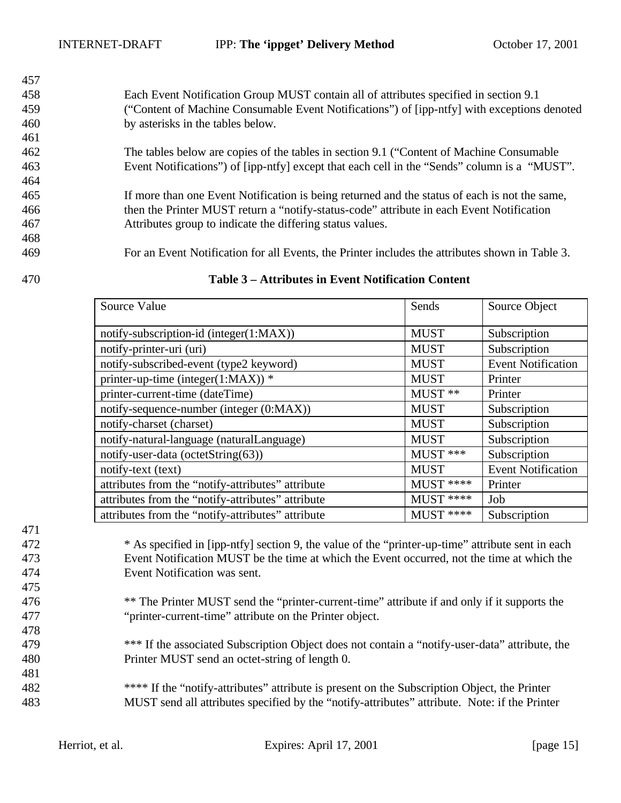| 457 |                                                                                                 |
|-----|-------------------------------------------------------------------------------------------------|
| 458 | Each Event Notification Group MUST contain all of attributes specified in section 9.1           |
| 459 | ("Content of Machine Consumable Event Notifications") of [ipp-ntfy] with exceptions denoted     |
| 460 | by asterisks in the tables below.                                                               |
| 461 |                                                                                                 |
| 462 | The tables below are copies of the tables in section 9.1 ("Content of Machine Consumable"       |
| 463 | Event Notifications") of [ipp-ntfy] except that each cell in the "Sends" column is a "MUST".    |
| 464 |                                                                                                 |
| 465 | If more than one Event Notification is being returned and the status of each is not the same,   |
| 466 | then the Printer MUST return a "notify-status-code" attribute in each Event Notification        |
| 467 | Attributes group to indicate the differing status values.                                       |
| 468 |                                                                                                 |
| 469 | For an Event Notification for all Events, the Printer includes the attributes shown in Table 3. |

| Source Value                                      | Sends       | Source Object             |
|---------------------------------------------------|-------------|---------------------------|
| notify-subscription-id (integer(1:MAX))           | <b>MUST</b> | Subscription              |
| notify-printer-uri (uri)                          | <b>MUST</b> | Subscription              |
| notify-subscribed-event (type2 keyword)           | <b>MUST</b> | <b>Event Notification</b> |
| printer-up-time (integer(1:MAX)) *                | <b>MUST</b> | Printer                   |
| printer-current-time (dateTime)                   | MUST **     | Printer                   |
| notify-sequence-number (integer (0:MAX))          | <b>MUST</b> | Subscription              |
| notify-charset (charset)                          | <b>MUST</b> | Subscription              |
| notify-natural-language (naturalLanguage)         | <b>MUST</b> | Subscription              |
| notify-user-data (octetString(63))                | MUST ***    | Subscription              |
| notify-text (text)                                | <b>MUST</b> | <b>Event Notification</b> |
| attributes from the "notify-attributes" attribute | $MUST$ **** | Printer                   |
| attributes from the "notify-attributes" attribute | $MUST$ **** | Job                       |
| attributes from the "notify-attributes" attribute | $MUST$ **** | Subscription              |

#### **Table 3 – Attributes in Event Notification Content**

 \* As specified in [ipp-ntfy] section 9, the value of the "printer-up-time" attribute sent in each Event Notification MUST be the time at which the Event occurred, not the time at which the Event Notification was sent.

- \*\* The Printer MUST send the "printer-current-time" attribute if and only if it supports the "printer-current-time" attribute on the Printer object.
- \*\*\* If the associated Subscription Object does not contain a "notify-user-data" attribute, the Printer MUST send an octet-string of length 0.
- \*\*\*\* If the "notify-attributes" attribute is present on the Subscription Object, the Printer MUST send all attributes specified by the "notify-attributes" attribute. Note: if the Printer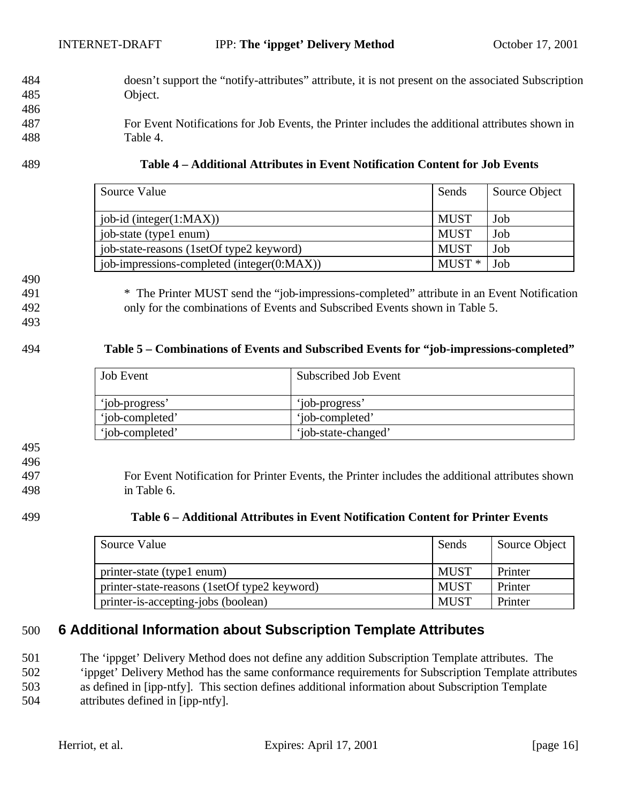- 484 doesn't support the "notify-attributes" attribute, it is not present on the associated Subscription 485 Object.
- 487 For Event Notifications for Job Events, the Printer includes the additional attributes shown in 488 Table 4.

#### 489 **Table 4 – Additional Attributes in Event Notification Content for Job Events**

| Source Value                               | Sends       | Source Object |
|--------------------------------------------|-------------|---------------|
| job-id (integer(1:MAX))                    | <b>MUST</b> | Job           |
| job-state (type1 enum)                     | MUST        | Job           |
| job-state-reasons (1setOf type2 keyword)   | <b>MUST</b> | Job           |
| job-impressions-completed (integer(0:MAX)) | $MUST*$     | Job           |

490

486

491 \* The Printer MUST send the "job-impressions-completed" attribute in an Event Notification

492 only for the combinations of Events and Subscribed Events shown in Table 5. 493

# 494 **Table 5 – Combinations of Events and Subscribed Events for "job-impressions-completed"**

| <b>Job Event</b> | Subscribed Job Event |
|------------------|----------------------|
| 'iob-progress'   | 'iob-progress'       |
| 'iob-completed'  | 'iob-completed'      |
| 'job-completed'  | 'job-state-changed'  |

# 495

496

497 For Event Notification for Printer Events, the Printer includes the additional attributes shown 498 in Table 6.

### 499 **Table 6 – Additional Attributes in Event Notification Content for Printer Events**

| Source Value                                 |             | Source Object |
|----------------------------------------------|-------------|---------------|
| printer-state (type1 enum)                   | <b>MUST</b> | Printer       |
| printer-state-reasons (1setOf type2 keyword) | <b>MUST</b> | Printer       |
| printer-is-accepting-jobs (boolean)          | <b>MUST</b> | Printer       |

# 500 **6 Additional Information about Subscription Template Attributes**

501 The 'ippget' Delivery Method does not define any addition Subscription Template attributes. The 502 'ippget' Delivery Method has the same conformance requirements for Subscription Template attributes 503 as defined in [ipp-ntfy]. This section defines additional information about Subscription Template

504 attributes defined in [ipp-ntfy].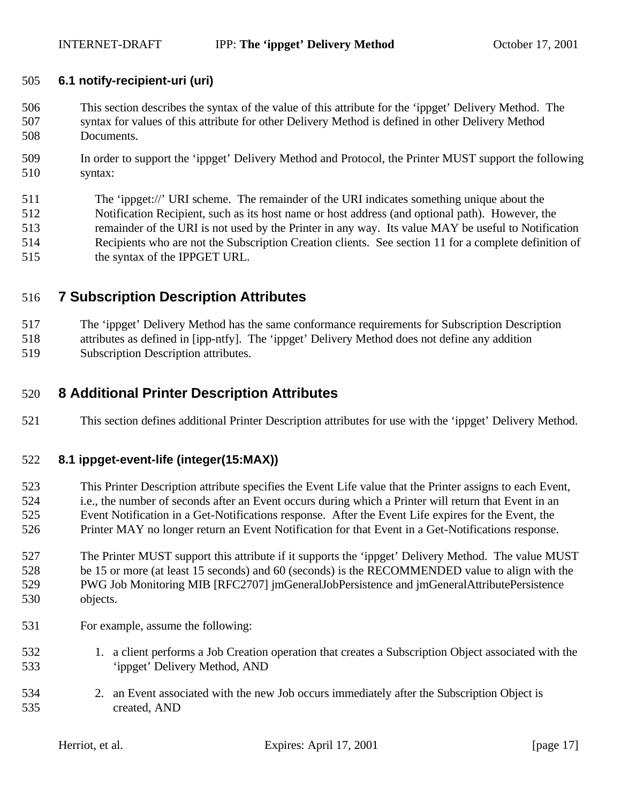#### **6.1 notify-recipient-uri (uri)**

- This section describes the syntax of the value of this attribute for the 'ippget' Delivery Method. The syntax for values of this attribute for other Delivery Method is defined in other Delivery Method Documents.
- In order to support the 'ippget' Delivery Method and Protocol, the Printer MUST support the following syntax:
- The 'ippget://' URI scheme. The remainder of the URI indicates something unique about the Notification Recipient, such as its host name or host address (and optional path). However, the remainder of the URI is not used by the Printer in any way. Its value MAY be useful to Notification Recipients who are not the Subscription Creation clients. See section 11 for a complete definition of the syntax of the IPPGET URL.

# **7 Subscription Description Attributes**

 The 'ippget' Delivery Method has the same conformance requirements for Subscription Description attributes as defined in [ipp-ntfy]. The 'ippget' Delivery Method does not define any addition Subscription Description attributes.

# **8 Additional Printer Description Attributes**

This section defines additional Printer Description attributes for use with the 'ippget' Delivery Method.

### **8.1 ippget-event-life (integer(15:MAX))**

 This Printer Description attribute specifies the Event Life value that the Printer assigns to each Event, i.e., the number of seconds after an Event occurs during which a Printer will return that Event in an Event Notification in a Get-Notifications response. After the Event Life expires for the Event, the Printer MAY no longer return an Event Notification for that Event in a Get-Notifications response.

 The Printer MUST support this attribute if it supports the 'ippget' Delivery Method. The value MUST be 15 or more (at least 15 seconds) and 60 (seconds) is the RECOMMENDED value to align with the PWG Job Monitoring MIB [RFC2707] jmGeneralJobPersistence and jmGeneralAttributePersistence objects.

- For example, assume the following:
- 1. a client performs a Job Creation operation that creates a Subscription Object associated with the 'ippget' Delivery Method, AND
- 2. an Event associated with the new Job occurs immediately after the Subscription Object is created, AND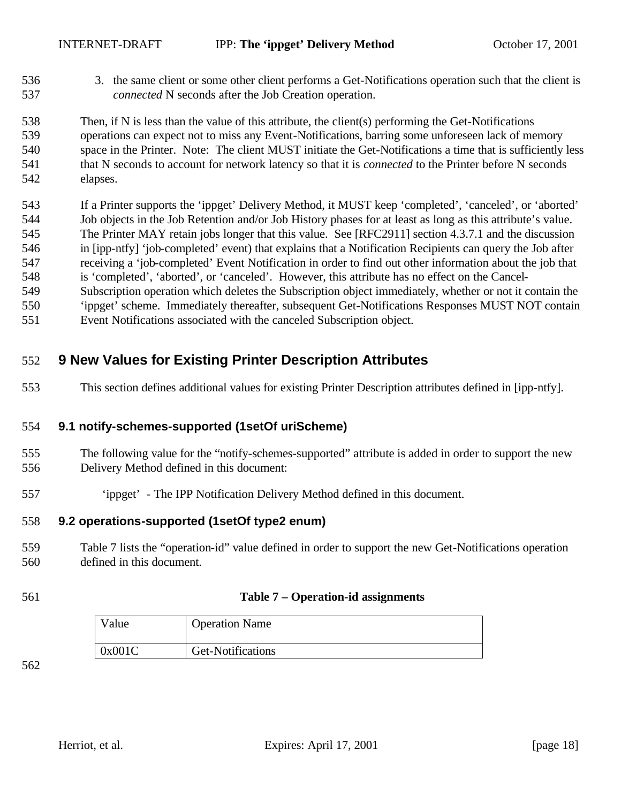536 3. the same client or some other client performs a Get-Notifications operation such that the client is *connected* N seconds after the Job Creation operation.

 Then, if N is less than the value of this attribute, the client(s) performing the Get-Notifications operations can expect not to miss any Event-Notifications, barring some unforeseen lack of memory space in the Printer. Note: The client MUST initiate the Get-Notifications a time that is sufficiently less that N seconds to account for network latency so that it is *connected* to the Printer before N seconds elapses.

 If a Printer supports the 'ippget' Delivery Method, it MUST keep 'completed', 'canceled', or 'aborted' Job objects in the Job Retention and/or Job History phases for at least as long as this attribute's value. The Printer MAY retain jobs longer that this value. See [RFC2911] section 4.3.7.1 and the discussion in [ipp-ntfy] 'job-completed' event) that explains that a Notification Recipients can query the Job after receiving a 'job-completed' Event Notification in order to find out other information about the job that is 'completed', 'aborted', or 'canceled'. However, this attribute has no effect on the Cancel- Subscription operation which deletes the Subscription object immediately, whether or not it contain the 'ippget' scheme. Immediately thereafter, subsequent Get-Notifications Responses MUST NOT contain

Event Notifications associated with the canceled Subscription object.

# **9 New Values for Existing Printer Description Attributes**

This section defines additional values for existing Printer Description attributes defined in [ipp-ntfy].

### **9.1 notify-schemes-supported (1setOf uriScheme)**

- The following value for the "notify-schemes-supported" attribute is added in order to support the new Delivery Method defined in this document:
- 'ippget' The IPP Notification Delivery Method defined in this document.

### **9.2 operations-supported (1setOf type2 enum)**

- Table 7 lists the "operation-id" value defined in order to support the new Get-Notifications operation defined in this document.
- 

#### **Table 7 – Operation-id assignments**

| Value |        | <b>Operation Name</b> |
|-------|--------|-----------------------|
|       | 0x001C | Get-Notifications     |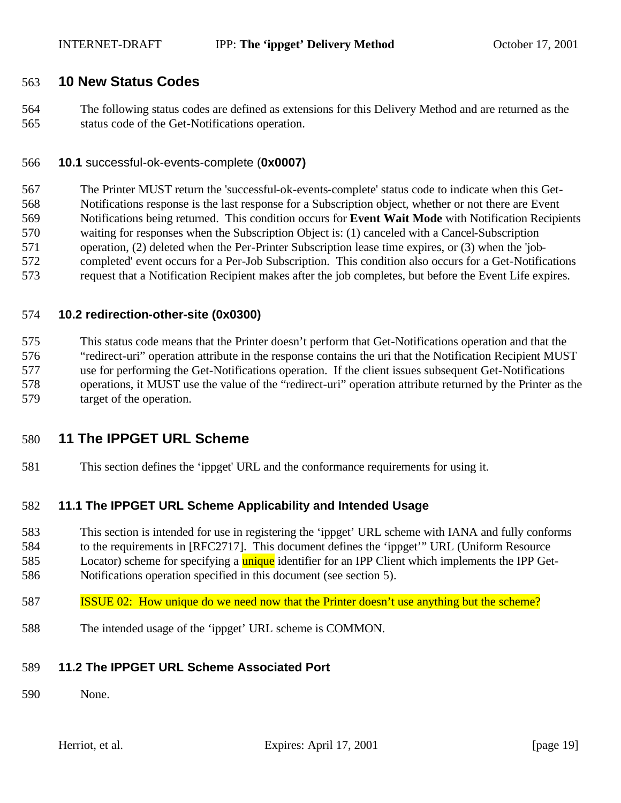# **10 New Status Codes**

 The following status codes are defined as extensions for this Delivery Method and are returned as the status code of the Get-Notifications operation.

#### **10.1** successful-ok-events-complete (**0x0007)**

 The Printer MUST return the 'successful-ok-events-complete' status code to indicate when this Get- Notifications response is the last response for a Subscription object, whether or not there are Event Notifications being returned. This condition occurs for **Event Wait Mode** with Notification Recipients waiting for responses when the Subscription Object is: (1) canceled with a Cancel-Subscription operation, (2) deleted when the Per-Printer Subscription lease time expires, or (3) when the 'job- completed' event occurs for a Per-Job Subscription. This condition also occurs for a Get-Notifications request that a Notification Recipient makes after the job completes, but before the Event Life expires.

#### **10.2 redirection-other-site (0x0300)**

 This status code means that the Printer doesn't perform that Get-Notifications operation and that the "redirect-uri" operation attribute in the response contains the uri that the Notification Recipient MUST use for performing the Get-Notifications operation. If the client issues subsequent Get-Notifications operations, it MUST use the value of the "redirect-uri" operation attribute returned by the Printer as the target of the operation.

# **11 The IPPGET URL Scheme**

This section defines the 'ippget' URL and the conformance requirements for using it.

#### **11.1 The IPPGET URL Scheme Applicability and Intended Usage**

 This section is intended for use in registering the 'ippget' URL scheme with IANA and fully conforms to the requirements in [RFC2717]. This document defines the 'ippget'" URL (Uniform Resource

585 Locator) scheme for specifying a **unique** identifier for an IPP Client which implements the IPP Get-

Notifications operation specified in this document (see section 5).

#### ISSUE 02: How unique do we need now that the Printer doesn't use anything but the scheme?

The intended usage of the 'ippget' URL scheme is COMMON.

#### **11.2 The IPPGET URL Scheme Associated Port**

None.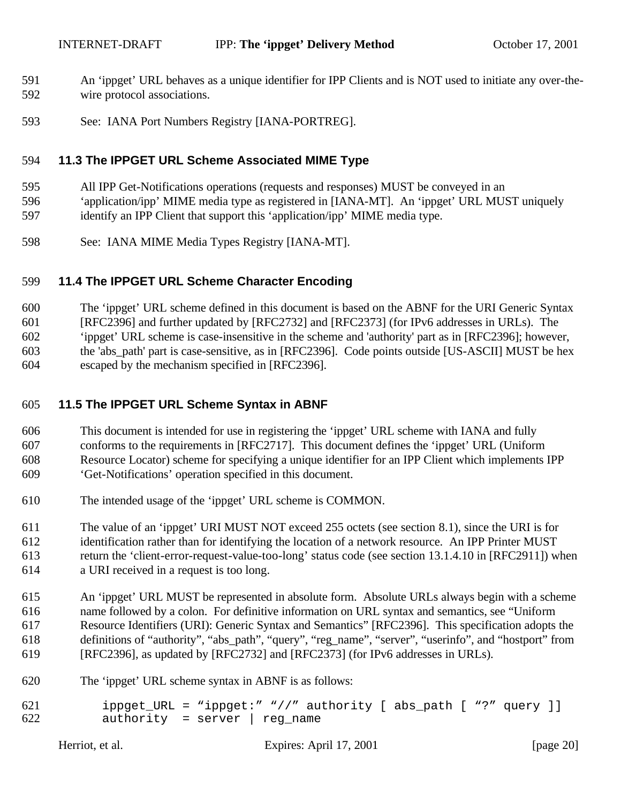- An 'ippget' URL behaves as a unique identifier for IPP Clients and is NOT used to initiate any over-the-wire protocol associations.
- See: IANA Port Numbers Registry [IANA-PORTREG].

# **11.3 The IPPGET URL Scheme Associated MIME Type**

All IPP Get-Notifications operations (requests and responses) MUST be conveyed in an

'application/ipp' MIME media type as registered in [IANA-MT]. An 'ippget' URL MUST uniquely

- identify an IPP Client that support this 'application/ipp' MIME media type.
- See: IANA MIME Media Types Registry [IANA-MT].

# **11.4 The IPPGET URL Scheme Character Encoding**

The 'ippget' URL scheme defined in this document is based on the ABNF for the URI Generic Syntax

[RFC2396] and further updated by [RFC2732] and [RFC2373] (for IPv6 addresses in URLs). The

'ippget' URL scheme is case-insensitive in the scheme and 'authority' part as in [RFC2396]; however,

the 'abs\_path' part is case-sensitive, as in [RFC2396]. Code points outside [US-ASCII] MUST be hex

escaped by the mechanism specified in [RFC2396].

# **11.5 The IPPGET URL Scheme Syntax in ABNF**

- This document is intended for use in registering the 'ippget' URL scheme with IANA and fully conforms to the requirements in [RFC2717]. This document defines the 'ippget' URL (Uniform Resource Locator) scheme for specifying a unique identifier for an IPP Client which implements IPP 'Get-Notifications' operation specified in this document.
- The intended usage of the 'ippget' URL scheme is COMMON.

 The value of an 'ippget' URI MUST NOT exceed 255 octets (see section 8.1), since the URI is for identification rather than for identifying the location of a network resource. An IPP Printer MUST return the 'client-error-request-value-too-long' status code (see section 13.1.4.10 in [RFC2911]) when

a URI received in a request is too long.

 An 'ippget' URL MUST be represented in absolute form. Absolute URLs always begin with a scheme name followed by a colon. For definitive information on URL syntax and semantics, see "Uniform Resource Identifiers (URI): Generic Syntax and Semantics" [RFC2396]. This specification adopts the definitions of "authority", "abs\_path", "query", "reg\_name", "server", "userinfo", and "hostport" from [RFC2396], as updated by [RFC2732] and [RFC2373] (for IPv6 addresses in URLs).

The 'ippget' URL scheme syntax in ABNF is as follows:

```
621 ippget_URL = "ippget:" "//" authority [ abs_path [ "?" query ]]<br>622 authority = server | req name
              authority = server | reg_name
```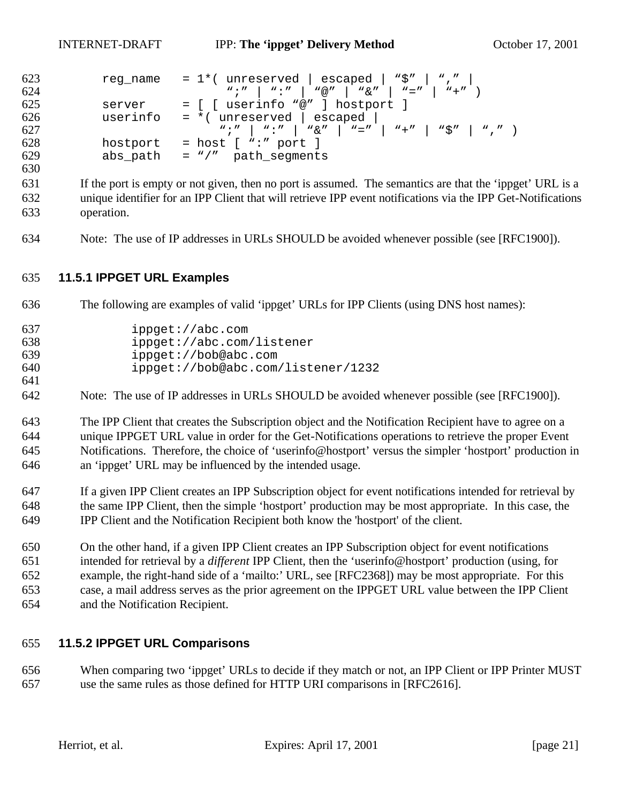```
623 reg_name = 1*( unreserved | escaped | "\zeta" | "," |
624 \frac{m!}{m!} \frac{m!}{m!} \frac{m!}{m!} \frac{m!}{m!} \frac{m!}{m!} \frac{m!}{m!} \frac{m!}{m!} \frac{m!}{m!} \frac{m!}{m!} \frac{m!}{m!}625 server = [ ] userinfo "@" ] hostport ] 626 userinfo = * ( unreserved ] escaped |userinfo = *( unreserved | escaped |
627 ";" | ":" | "&" | "=" | "+" | "$" | "," )
628 hostport = host [ ":" port ]<br>629 abs path = "/" path seqments
              abs\_path = "/" path_segments
```
 If the port is empty or not given, then no port is assumed. The semantics are that the 'ippget' URL is a unique identifier for an IPP Client that will retrieve IPP event notifications via the IPP Get-Notifications operation.

Note: The use of IP addresses in URLs SHOULD be avoided whenever possible (see [RFC1900]).

# **11.5.1 IPPGET URL Examples**

The following are examples of valid 'ippget' URLs for IPP Clients (using DNS host names):

| 637 | ippect://abc.com                   |
|-----|------------------------------------|
| 638 | ippqet://abc.com/listener          |
| 639 | ippect://bob@abc.com               |
| 640 | ippget://bob@abc.com/listener/1232 |
| 641 |                                    |

Note: The use of IP addresses in URLs SHOULD be avoided whenever possible (see [RFC1900]).

 The IPP Client that creates the Subscription object and the Notification Recipient have to agree on a unique IPPGET URL value in order for the Get-Notifications operations to retrieve the proper Event Notifications. Therefore, the choice of 'userinfo@hostport' versus the simpler 'hostport' production in an 'ippget' URL may be influenced by the intended usage.

- If a given IPP Client creates an IPP Subscription object for event notifications intended for retrieval by the same IPP Client, then the simple 'hostport' production may be most appropriate. In this case, the IPP Client and the Notification Recipient both know the 'hostport' of the client.
- On the other hand, if a given IPP Client creates an IPP Subscription object for event notifications intended for retrieval by a *different* IPP Client, then the 'userinfo@hostport' production (using, for example, the right-hand side of a 'mailto:' URL, see [RFC2368]) may be most appropriate. For this case, a mail address serves as the prior agreement on the IPPGET URL value between the IPP Client and the Notification Recipient.

### **11.5.2 IPPGET URL Comparisons**

 When comparing two 'ippget' URLs to decide if they match or not, an IPP Client or IPP Printer MUST use the same rules as those defined for HTTP URI comparisons in [RFC2616].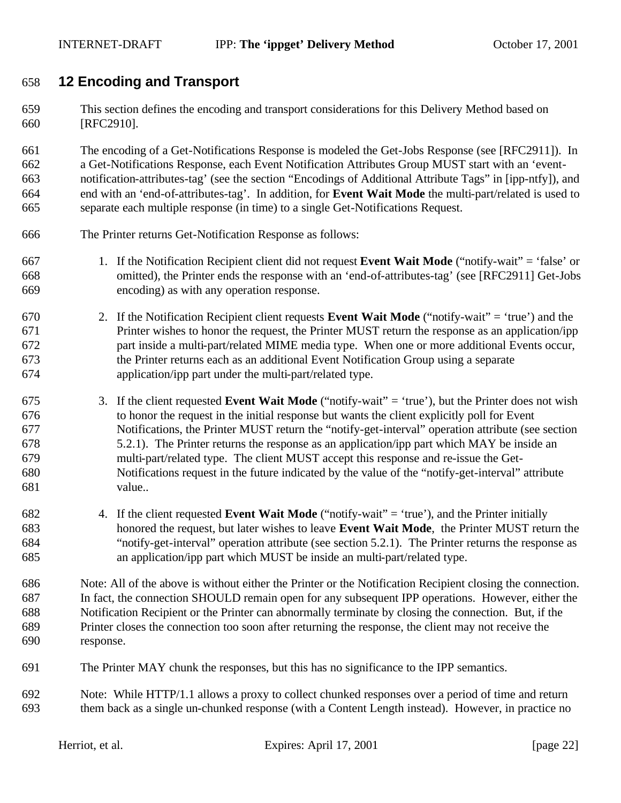# **12 Encoding and Transport**

 This section defines the encoding and transport considerations for this Delivery Method based on [RFC2910].

 The encoding of a Get-Notifications Response is modeled the Get-Jobs Response (see [RFC2911]). In a Get-Notifications Response, each Event Notification Attributes Group MUST start with an 'event- notification-attributes-tag' (see the section "Encodings of Additional Attribute Tags" in [ipp-ntfy]), and end with an 'end-of-attributes-tag'. In addition, for **Event Wait Mode** the multi-part/related is used to separate each multiple response (in time) to a single Get-Notifications Request.

- The Printer returns Get-Notification Response as follows:
- 1. If the Notification Recipient client did not request **Event Wait Mode** ("notify-wait" = 'false' or omitted), the Printer ends the response with an 'end-of-attributes-tag' (see [RFC2911] Get-Jobs encoding) as with any operation response.
- 2. If the Notification Recipient client requests **Event Wait Mode** ("notify-wait" = 'true') and the Printer wishes to honor the request, the Printer MUST return the response as an application/ipp part inside a multi-part/related MIME media type. When one or more additional Events occur, the Printer returns each as an additional Event Notification Group using a separate application/ipp part under the multi-part/related type.
- 3. If the client requested **Event Wait Mode** ("notify-wait" = 'true'), but the Printer does not wish to honor the request in the initial response but wants the client explicitly poll for Event Notifications, the Printer MUST return the "notify-get-interval" operation attribute (see section 5.2.1). The Printer returns the response as an application/ipp part which MAY be inside an multi-part/related type. The client MUST accept this response and re-issue the Get- Notifications request in the future indicated by the value of the "notify-get-interval" attribute value..
- 4. If the client requested **Event Wait Mode** ("notify-wait" = 'true'), and the Printer initially honored the request, but later wishes to leave **Event Wait Mode**, the Printer MUST return the "notify-get-interval" operation attribute (see section 5.2.1). The Printer returns the response as an application/ipp part which MUST be inside an multi-part/related type.
- Note: All of the above is without either the Printer or the Notification Recipient closing the connection. In fact, the connection SHOULD remain open for any subsequent IPP operations. However, either the Notification Recipient or the Printer can abnormally terminate by closing the connection. But, if the Printer closes the connection too soon after returning the response, the client may not receive the response.
- The Printer MAY chunk the responses, but this has no significance to the IPP semantics.
- Note: While HTTP/1.1 allows a proxy to collect chunked responses over a period of time and return them back as a single un-chunked response (with a Content Length instead). However, in practice no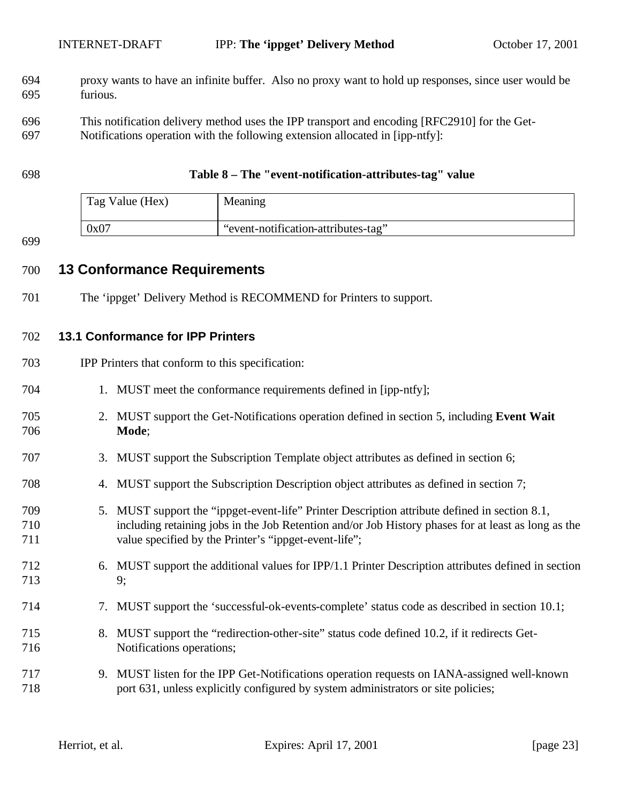- proxy wants to have an infinite buffer. Also no proxy want to hold up responses, since user would be furious.
- This notification delivery method uses the IPP transport and encoding [RFC2910] for the Get-
- Notifications operation with the following extension allocated in [ipp-ntfy]:

#### **Table 8 – The "event-notification-attributes-tag" value**

| Tag Value (Hex) | Meaning                             |
|-----------------|-------------------------------------|
| 0x07            | "event-notification-attributes-tag" |

# **13 Conformance Requirements**

The 'ippget' Delivery Method is RECOMMEND for Printers to support.

### **13.1 Conformance for IPP Printers**

- IPP Printers that conform to this specification:
- 1. MUST meet the conformance requirements defined in [ipp-ntfy];
- 2. MUST support the Get-Notifications operation defined in section 5, including **Event Wait Mode**;
- 3. MUST support the Subscription Template object attributes as defined in section 6;
- 4. MUST support the Subscription Description object attributes as defined in section 7;
- 5. MUST support the "ippget-event-life" Printer Description attribute defined in section 8.1, including retaining jobs in the Job Retention and/or Job History phases for at least as long as the 711 value specified by the Printer's "ippget-event-life";
- 6. MUST support the additional values for IPP/1.1 Printer Description attributes defined in section 713 9;
- 7. MUST support the 'successful-ok-events-complete' status code as described in section 10.1;
- 8. MUST support the "redirection-other-site" status code defined 10.2, if it redirects Get-Notifications operations;
- 9. MUST listen for the IPP Get-Notifications operation requests on IANA-assigned well-known port 631, unless explicitly configured by system administrators or site policies;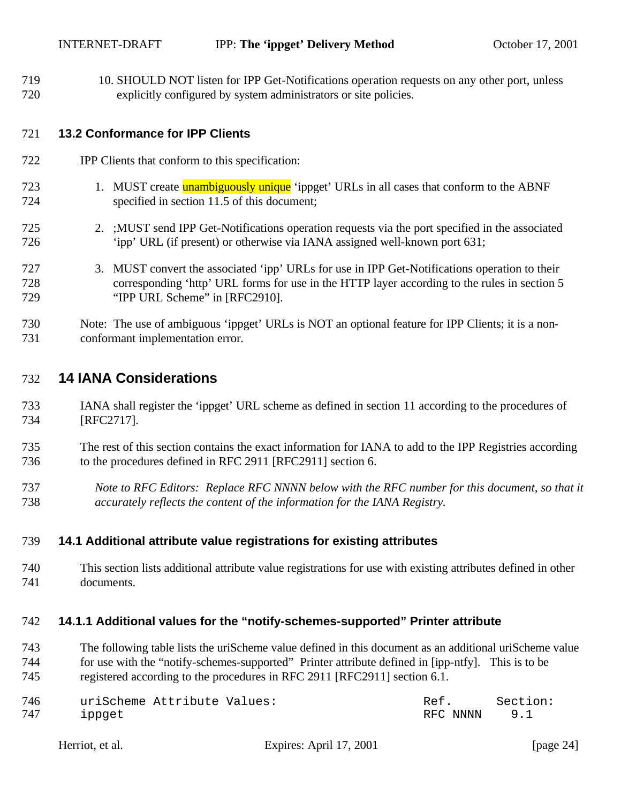10. SHOULD NOT listen for IPP Get-Notifications operation requests on any other port, unless explicitly configured by system administrators or site policies.

#### **13.2 Conformance for IPP Clients**

- IPP Clients that conform to this specification:
- 723 1. MUST create **unambiguously unique** 'ippget' URLs in all cases that conform to the ABNF specified in section 11.5 of this document;
- 2. ;MUST send IPP Get-Notifications operation requests via the port specified in the associated 'ipp' URL (if present) or otherwise via IANA assigned well-known port 631;
- 3. MUST convert the associated 'ipp' URLs for use in IPP Get-Notifications operation to their corresponding 'http' URL forms for use in the HTTP layer according to the rules in section 5 "IPP URL Scheme" in [RFC2910].
- Note: The use of ambiguous 'ippget' URLs is NOT an optional feature for IPP Clients; it is a non-conformant implementation error.

# **14 IANA Considerations**

- IANA shall register the 'ippget' URL scheme as defined in section 11 according to the procedures of [RFC2717].
- The rest of this section contains the exact information for IANA to add to the IPP Registries according to the procedures defined in RFC 2911 [RFC2911] section 6.
- *Note to RFC Editors: Replace RFC NNNN below with the RFC number for this document, so that it accurately reflects the content of the information for the IANA Registry.*

#### **14.1 Additional attribute value registrations for existing attributes**

 This section lists additional attribute value registrations for use with existing attributes defined in other documents.

#### **14.1.1 Additional values for the "notify-schemes-supported" Printer attribute**

 The following table lists the uriScheme value defined in this document as an additional uriScheme value for use with the "notify-schemes-supported" Printer attribute defined in [ipp-ntfy]. This is to be registered according to the procedures in RFC 2911 [RFC2911] section 6.1.

| 746 | uriScheme Attribute Values: | Ref.     | Section: |
|-----|-----------------------------|----------|----------|
| 747 | ippget                      | RFC NNNN |          |

| Expires: April 17, 2001<br>Herriot, et al. | [page 24] |
|--------------------------------------------|-----------|
|--------------------------------------------|-----------|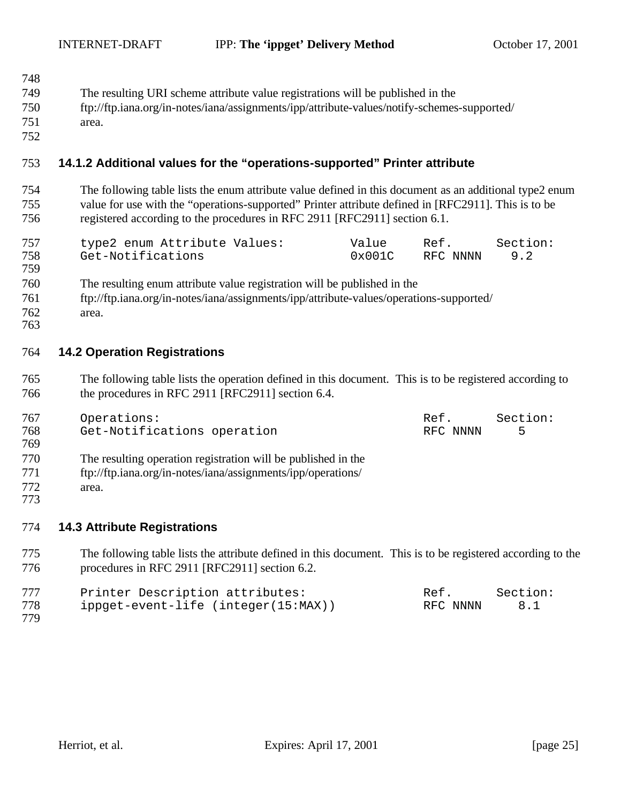| 748<br>749<br>750<br>751<br>752 | The resulting URI scheme attribute value registrations will be published in the<br>ftp://ftp.iana.org/in-notes/iana/assignments/ipp/attribute-values/notify-schemes-supported/<br>area.                                                                                                     |
|---------------------------------|---------------------------------------------------------------------------------------------------------------------------------------------------------------------------------------------------------------------------------------------------------------------------------------------|
| 753                             | 14.1.2 Additional values for the "operations-supported" Printer attribute                                                                                                                                                                                                                   |
| 754<br>755<br>756               | The following table lists the enum attribute value defined in this document as an additional type2 enum<br>value for use with the "operations-supported" Printer attribute defined in [RFC2911]. This is to be<br>registered according to the procedures in RFC 2911 [RFC2911] section 6.1. |
| 757<br>758<br>759               | type2 enum Attribute Values:<br>Value<br>Section:<br>Ref.<br>Get-Notifications<br>0x001C<br>RFC NNNN<br>9.2                                                                                                                                                                                 |
| 760<br>761<br>762<br>763        | The resulting enum attribute value registration will be published in the<br>ftp://ftp.iana.org/in-notes/iana/assignments/ipp/attribute-values/operations-supported/<br>area.                                                                                                                |
| 764                             | <b>14.2 Operation Registrations</b>                                                                                                                                                                                                                                                         |
| 765<br>766                      | The following table lists the operation defined in this document. This is to be registered according to<br>the procedures in RFC 2911 [RFC2911] section 6.4.                                                                                                                                |
| 767<br>768<br>769               | Operations:<br>Ref.<br>Section:<br>Get-Notifications operation<br>5<br>RFC NNNN                                                                                                                                                                                                             |
| 770<br>771<br>772<br>773        | The resulting operation registration will be published in the<br>ftp://ftp.iana.org/in-notes/iana/assignments/ipp/operations/<br>area.                                                                                                                                                      |
| 774                             | <b>14.3 Attribute Registrations</b>                                                                                                                                                                                                                                                         |
| 775<br>776                      | The following table lists the attribute defined in this document. This is to be registered according to the<br>procedures in RFC 2911 [RFC2911] section 6.2.                                                                                                                                |
| 777<br>778<br>779               | Printer Description attributes:<br>Section:<br>Ref.<br>ippget-event-life (integer(15:MAX))<br>8.1<br>RFC NNNN                                                                                                                                                                               |
|                                 |                                                                                                                                                                                                                                                                                             |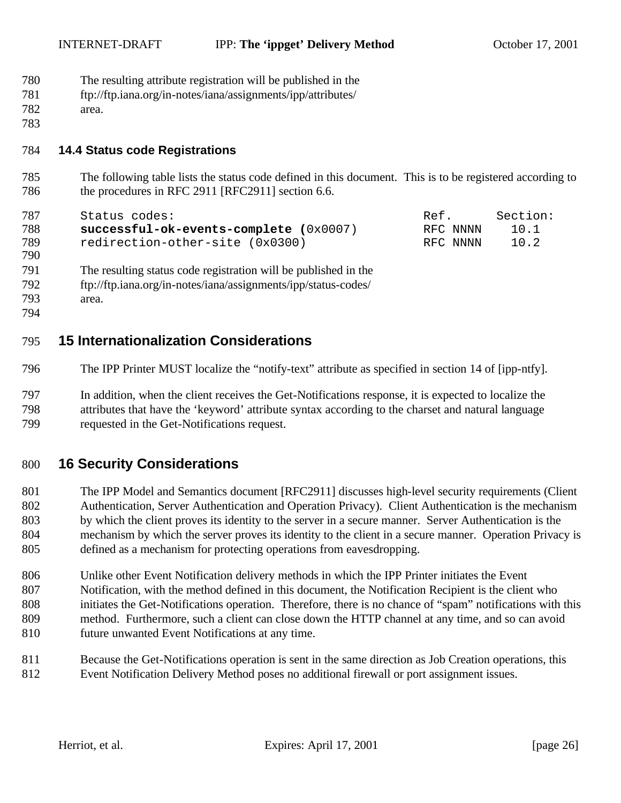- The resulting attribute registration will be published in the
- ftp://ftp.iana.org/in-notes/iana/assignments/ipp/attributes/
- area.

# **14.4 Status code Registrations**

 The following table lists the status code defined in this document. This is to be registered according to 786 the procedures in RFC 2911 [RFC2911] section 6.6.

| 787 | Status codes:                            | Ref.     | Section: |
|-----|------------------------------------------|----------|----------|
| 788 | $successful-ok-events-complete (0x0007)$ | RFC NNNN | 10.1     |
| 789 | redirection-other-site (0x0300)          | RFC NNNN | 10.2     |
| 790 |                                          |          |          |

 The resulting status code registration will be published in the ftp://ftp.iana.org/in-notes/iana/assignments/ipp/status-codes/ area.

# **15 Internationalization Considerations**

The IPP Printer MUST localize the "notify-text" attribute as specified in section 14 of [ipp-ntfy].

 In addition, when the client receives the Get-Notifications response, it is expected to localize the attributes that have the 'keyword' attribute syntax according to the charset and natural language requested in the Get-Notifications request.

# **16 Security Considerations**

 The IPP Model and Semantics document [RFC2911] discusses high-level security requirements (Client Authentication, Server Authentication and Operation Privacy). Client Authentication is the mechanism by which the client proves its identity to the server in a secure manner. Server Authentication is the mechanism by which the server proves its identity to the client in a secure manner. Operation Privacy is defined as a mechanism for protecting operations from eavesdropping.

 Unlike other Event Notification delivery methods in which the IPP Printer initiates the Event Notification, with the method defined in this document, the Notification Recipient is the client who initiates the Get-Notifications operation. Therefore, there is no chance of "spam" notifications with this method. Furthermore, such a client can close down the HTTP channel at any time, and so can avoid future unwanted Event Notifications at any time.

 Because the Get-Notifications operation is sent in the same direction as Job Creation operations, this Event Notification Delivery Method poses no additional firewall or port assignment issues.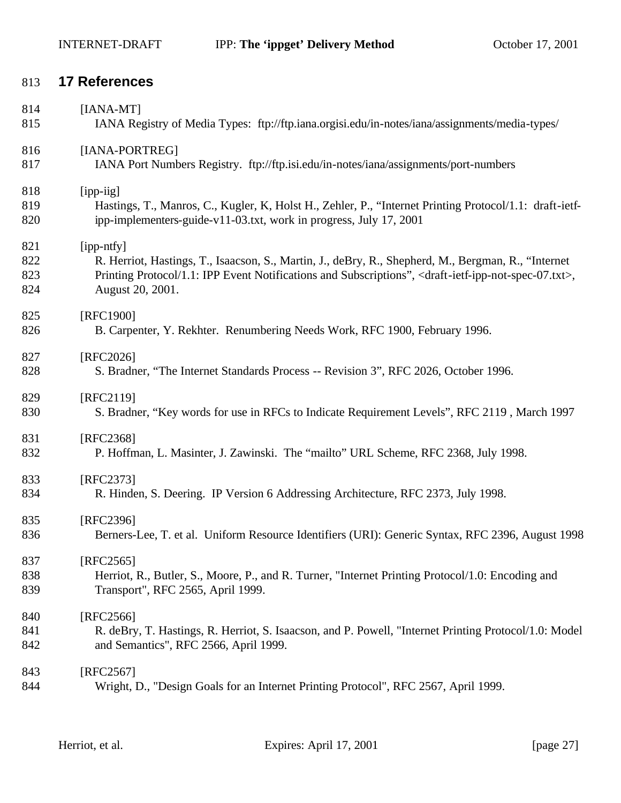# **17 References**

| 814 | $[IANA-MT]$                                                                                                                           |
|-----|---------------------------------------------------------------------------------------------------------------------------------------|
| 815 | IANA Registry of Media Types: ftp://ftp.iana.orgisi.edu/in-notes/iana/assignments/media-types/                                        |
| 816 | [IANA-PORTREG]                                                                                                                        |
| 817 | IANA Port Numbers Registry. ftp://ftp.isi.edu/in-notes/iana/assignments/port-numbers                                                  |
| 818 | [ipp-iig]                                                                                                                             |
| 819 | Hastings, T., Manros, C., Kugler, K. Holst H., Zehler, P., "Internet Printing Protocol/1.1: draft-ietf-                               |
| 820 | ipp-implementers-guide-v11-03.txt, work in progress, July 17, 2001                                                                    |
| 821 | [ipp-ntfy]                                                                                                                            |
| 822 | R. Herriot, Hastings, T., Isaacson, S., Martin, J., deBry, R., Shepherd, M., Bergman, R., "Internet                                   |
| 823 | Printing Protocol/1.1: IPP Event Notifications and Subscriptions", <draft-ietf-ipp-not-spec-07.txt>,</draft-ietf-ipp-not-spec-07.txt> |
| 824 | August 20, 2001.                                                                                                                      |
| 825 | [RFC1900]                                                                                                                             |
| 826 | B. Carpenter, Y. Rekhter. Renumbering Needs Work, RFC 1900, February 1996.                                                            |
| 827 | [RFC2026]                                                                                                                             |
| 828 | S. Bradner, "The Internet Standards Process -- Revision 3", RFC 2026, October 1996.                                                   |
| 829 | [RFC2119]                                                                                                                             |
| 830 | S. Bradner, "Key words for use in RFCs to Indicate Requirement Levels", RFC 2119, March 1997                                          |
| 831 | [RFC2368]                                                                                                                             |
| 832 | P. Hoffman, L. Masinter, J. Zawinski. The "mailto" URL Scheme, RFC 2368, July 1998.                                                   |
| 833 | [RFC2373]                                                                                                                             |
| 834 | R. Hinden, S. Deering. IP Version 6 Addressing Architecture, RFC 2373, July 1998.                                                     |
| 835 | [RFC2396]                                                                                                                             |
| 836 | Berners-Lee, T. et al. Uniform Resource Identifiers (URI): Generic Syntax, RFC 2396, August 1998                                      |
| 837 | $[RFC2565]$                                                                                                                           |
| 838 | Herriot, R., Butler, S., Moore, P., and R. Turner, "Internet Printing Protocol/1.0: Encoding and                                      |
| 839 | Transport", RFC 2565, April 1999.                                                                                                     |
| 840 | [RFC2566]                                                                                                                             |
| 841 | R. deBry, T. Hastings, R. Herriot, S. Isaacson, and P. Powell, "Internet Printing Protocol/1.0: Model                                 |
| 842 | and Semantics", RFC 2566, April 1999.                                                                                                 |
| 843 | [RFC2567]                                                                                                                             |
| 844 | Wright, D., "Design Goals for an Internet Printing Protocol", RFC 2567, April 1999.                                                   |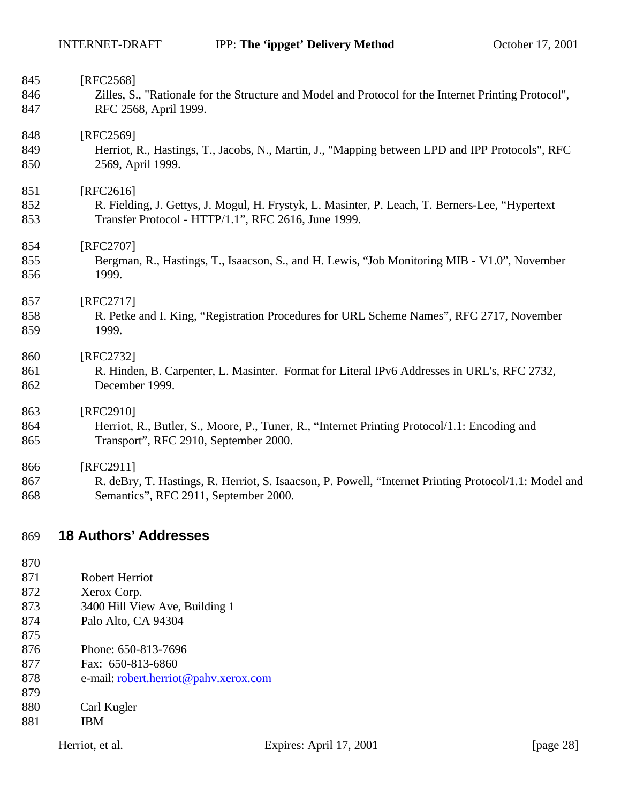| 845        | [RFC2568]                                                                                             |
|------------|-------------------------------------------------------------------------------------------------------|
| 846        | Zilles, S., "Rationale for the Structure and Model and Protocol for the Internet Printing Protocol",  |
| 847        | RFC 2568, April 1999.                                                                                 |
| 848        | [RFC2569]                                                                                             |
| 849        | Herriot, R., Hastings, T., Jacobs, N., Martin, J., "Mapping between LPD and IPP Protocols", RFC       |
| 850        | 2569, April 1999.                                                                                     |
| 851        | [RFC2616]                                                                                             |
| 852        | R. Fielding, J. Gettys, J. Mogul, H. Frystyk, L. Masinter, P. Leach, T. Berners-Lee, "Hypertext"      |
| 853        | Transfer Protocol - HTTP/1.1", RFC 2616, June 1999.                                                   |
| 854        | [RFC2707]                                                                                             |
| 855        | Bergman, R., Hastings, T., Isaacson, S., and H. Lewis, "Job Monitoring MIB - V1.0", November          |
| 856        | 1999.                                                                                                 |
| 857        | [RFC2717]                                                                                             |
| 858        | R. Petke and I. King, "Registration Procedures for URL Scheme Names", RFC 2717, November              |
| 859        | 1999.                                                                                                 |
| 860        | [RFC2732]                                                                                             |
| 861        | R. Hinden, B. Carpenter, L. Masinter. Format for Literal IPv6 Addresses in URL's, RFC 2732,           |
| 862        | December 1999.                                                                                        |
| 863        | [RFC2910]                                                                                             |
| 864        | Herriot, R., Butler, S., Moore, P., Tuner, R., "Internet Printing Protocol/1.1: Encoding and          |
| 865        | Transport", RFC 2910, September 2000.                                                                 |
| 866        | [RFC2911]                                                                                             |
| 867        | R. deBry, T. Hastings, R. Herriot, S. Isaacson, P. Powell, "Internet Printing Protocol/1.1: Model and |
| 868        | Semantics", RFC 2911, September 2000.                                                                 |
|            |                                                                                                       |
| 869        | <b>18 Authors' Addresses</b>                                                                          |
| 870        |                                                                                                       |
| 871        | <b>Robert Herriot</b>                                                                                 |
| 872        | Xerox Corp.                                                                                           |
| 873        | 3400 Hill View Ave, Building 1                                                                        |
| 874<br>875 | Palo Alto, CA 94304                                                                                   |
| 876        | Phone: 650-813-7696                                                                                   |
| 877        | Fax: 650-813-6860                                                                                     |
| 878        | e-mail: robert.herriot@pahv.xerox.com                                                                 |
| 879        |                                                                                                       |
| 880        | Carl Kugler                                                                                           |

IBM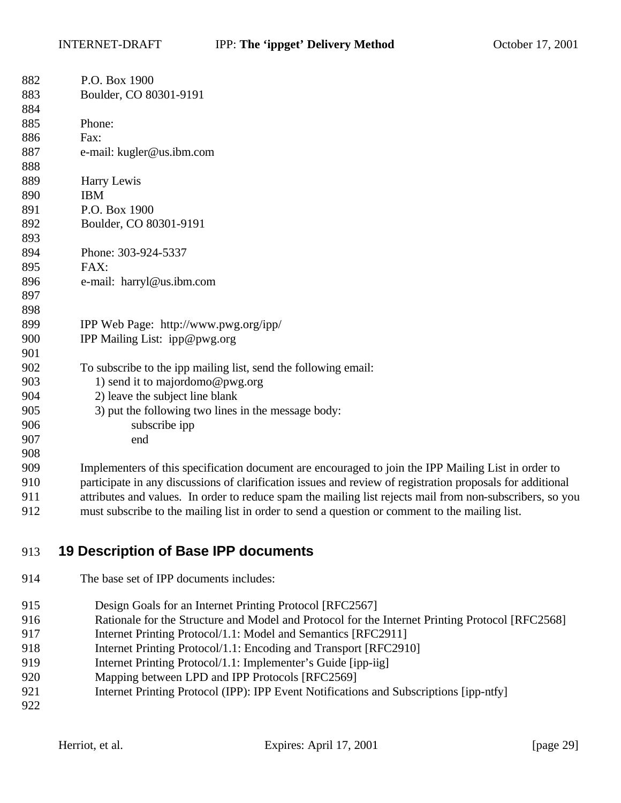| 882 | P.O. Box 1900                                                                                              |
|-----|------------------------------------------------------------------------------------------------------------|
| 883 | Boulder, CO 80301-9191                                                                                     |
| 884 |                                                                                                            |
| 885 | Phone:                                                                                                     |
| 886 | Fax:                                                                                                       |
| 887 | e-mail: kugler@us.ibm.com                                                                                  |
| 888 |                                                                                                            |
| 889 | Harry Lewis                                                                                                |
| 890 | <b>IBM</b>                                                                                                 |
| 891 | P.O. Box 1900                                                                                              |
| 892 | Boulder, CO 80301-9191                                                                                     |
| 893 |                                                                                                            |
| 894 | Phone: 303-924-5337                                                                                        |
| 895 | FAX:                                                                                                       |
| 896 | e-mail: harryl@us.ibm.com                                                                                  |
| 897 |                                                                                                            |
| 898 |                                                                                                            |
| 899 | IPP Web Page: http://www.pwg.org/ipp/                                                                      |
| 900 | IPP Mailing List: ipp@pwg.org                                                                              |
| 901 |                                                                                                            |
| 902 | To subscribe to the ipp mailing list, send the following email:                                            |
| 903 | 1) send it to majordomo@pwg.org                                                                            |
| 904 | 2) leave the subject line blank                                                                            |
| 905 | 3) put the following two lines in the message body:                                                        |
| 906 | subscribe ipp                                                                                              |
| 907 | end                                                                                                        |
| 908 |                                                                                                            |
| 909 | Implementers of this specification document are encouraged to join the IPP Mailing List in order to        |
| 910 | participate in any discussions of clarification issues and review of registration proposals for additional |
| 911 | attributes and values. In order to reduce spam the mailing list rejects mail from non-subscribers, so you  |

must subscribe to the mailing list in order to send a question or comment to the mailing list.

# **19 Description of Base IPP documents**

- The base set of IPP documents includes:
- 915 Design Goals for an Internet Printing Protocol [RFC2567]
- Rationale for the Structure and Model and Protocol for the Internet Printing Protocol [RFC2568]
- 917 Internet Printing Protocol/1.1: Model and Semantics [RFC2911]
- Internet Printing Protocol/1.1: Encoding and Transport [RFC2910]
- 919 Internet Printing Protocol/1.1: Implementer's Guide [ipp-iig]
- Mapping between LPD and IPP Protocols [RFC2569]
- 921 Internet Printing Protocol (IPP): IPP Event Notifications and Subscriptions [ipp-ntfy]
-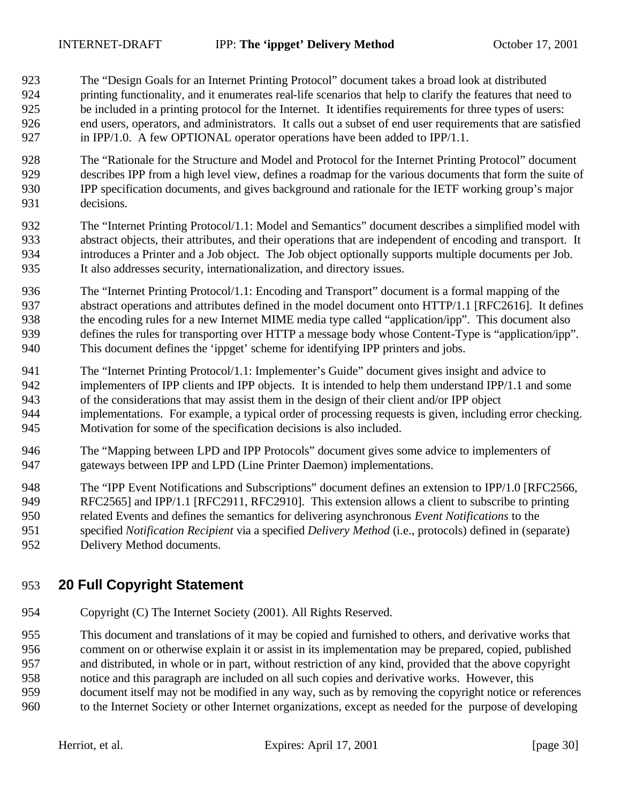The "Design Goals for an Internet Printing Protocol" document takes a broad look at distributed printing functionality, and it enumerates real-life scenarios that help to clarify the features that need to be included in a printing protocol for the Internet. It identifies requirements for three types of users: end users, operators, and administrators. It calls out a subset of end user requirements that are satisfied in IPP/1.0. A few OPTIONAL operator operations have been added to IPP/1.1.

- The "Rationale for the Structure and Model and Protocol for the Internet Printing Protocol" document describes IPP from a high level view, defines a roadmap for the various documents that form the suite of IPP specification documents, and gives background and rationale for the IETF working group's major decisions.
- The "Internet Printing Protocol/1.1: Model and Semantics" document describes a simplified model with abstract objects, their attributes, and their operations that are independent of encoding and transport. It introduces a Printer and a Job object. The Job object optionally supports multiple documents per Job. It also addresses security, internationalization, and directory issues.
- The "Internet Printing Protocol/1.1: Encoding and Transport" document is a formal mapping of the abstract operations and attributes defined in the model document onto HTTP/1.1 [RFC2616]. It defines the encoding rules for a new Internet MIME media type called "application/ipp". This document also defines the rules for transporting over HTTP a message body whose Content-Type is "application/ipp". This document defines the 'ippget' scheme for identifying IPP printers and jobs.
- The "Internet Printing Protocol/1.1: Implementer's Guide" document gives insight and advice to
- implementers of IPP clients and IPP objects. It is intended to help them understand IPP/1.1 and some
- of the considerations that may assist them in the design of their client and/or IPP object
- implementations. For example, a typical order of processing requests is given, including error checking. Motivation for some of the specification decisions is also included.
- The "Mapping between LPD and IPP Protocols" document gives some advice to implementers of gateways between IPP and LPD (Line Printer Daemon) implementations.
- The "IPP Event Notifications and Subscriptions" document defines an extension to IPP/1.0 [RFC2566,
- 949 RFC2565] and IPP/1.1 [RFC2911, RFC2910]. This extension allows a client to subscribe to printing
- related Events and defines the semantics for delivering asynchronous *Event Notifications* to the
- specified *Notification Recipient* via a specified *Delivery Method* (i.e., protocols) defined in (separate) Delivery Method documents.

# **20 Full Copyright Statement**

Copyright (C) The Internet Society (2001). All Rights Reserved.

This document and translations of it may be copied and furnished to others, and derivative works that

comment on or otherwise explain it or assist in its implementation may be prepared, copied, published

- and distributed, in whole or in part, without restriction of any kind, provided that the above copyright
- notice and this paragraph are included on all such copies and derivative works. However, this document itself may not be modified in any way, such as by removing the copyright notice or references
- to the Internet Society or other Internet organizations, except as needed for the purpose of developing